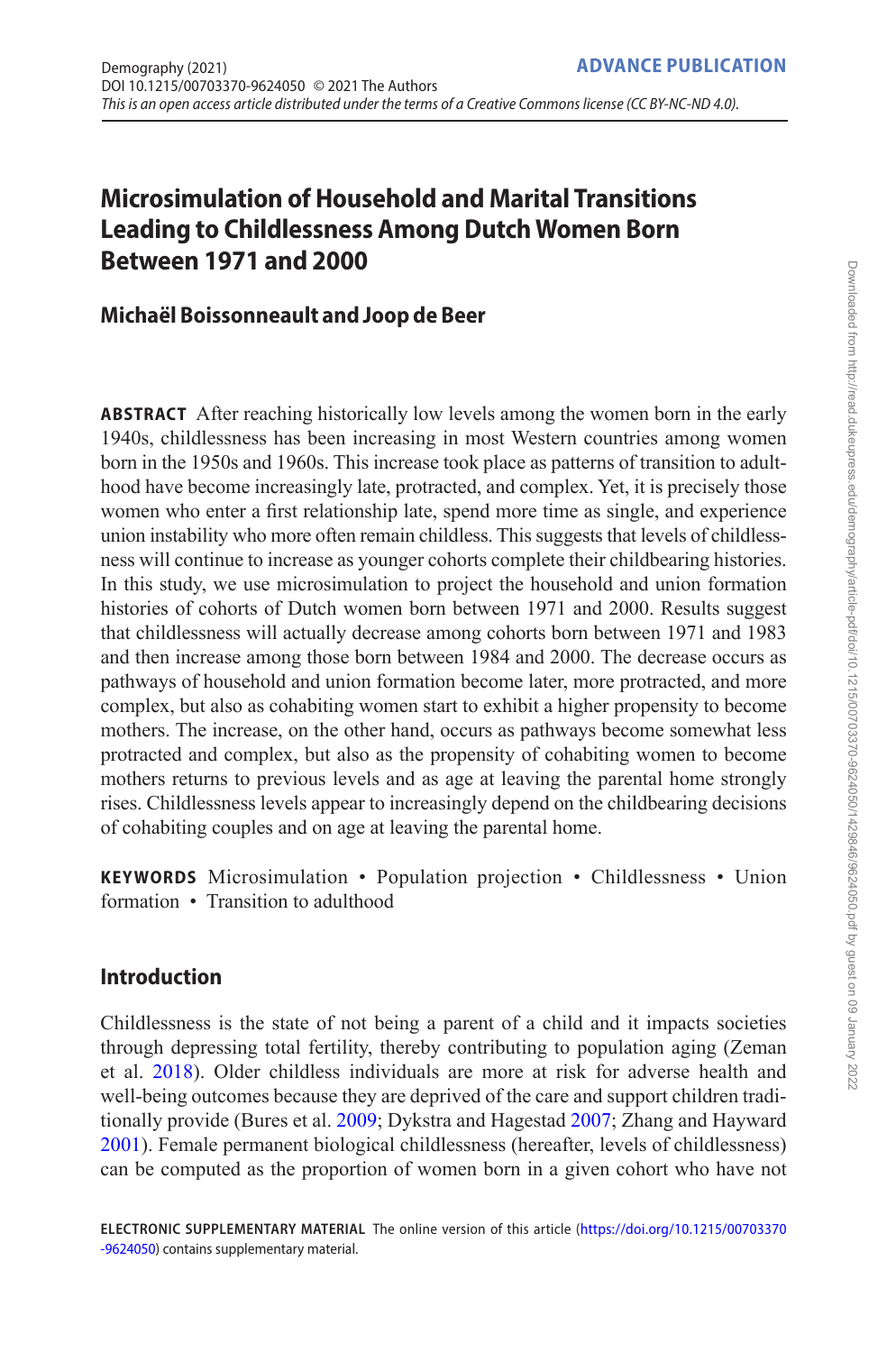# **Microsimulation of Household and Marital Transitions Leading to Childlessness Among Dutch Women Born Between 1971 and 2000**

## **Michaël Boissonneault and Joop de Beer**

**ABSTRACT** After reaching historically low levels among the women born in the early 1940s, childlessness has been increasing in most Western countries among women born in the 1950s and 1960s. This increase took place as patterns of transition to adulthood have become increasingly late, protracted, and complex. Yet, it is precisely those women who enter a first relationship late, spend more time as single, and experience union instability who more often remain childless. This suggests that levels of childlessness will continue to increase as younger cohorts complete their childbearing histories. In this study, we use microsimulation to project the household and union formation histories of cohorts of Dutch women born between 1971 and 2000. Results suggest that childlessness will actually decrease among cohorts born between 1971 and 1983 and then increase among those born between 1984 and 2000. The decrease occurs as pathways of household and union formation become later, more protracted, and more complex, but also as cohabiting women start to exhibit a higher propensity to become mothers. The increase, on the other hand, occurs as pathways become somewhat less protracted and complex, but also as the propensity of cohabiting women to become mothers returns to previous levels and as age at leaving the parental home strongly rises. Childlessness levels appear to increasingly depend on the childbearing decisions of cohabiting couples and on age at leaving the parental home.

**KEYWORDS** Microsimulation • Population projection • Childlessness • Union formation • Transition to adulthood

## **Introduction**

Childlessness is the state of not being a parent of a child and it impacts societies through depressing total fertility, thereby contributing to population aging (Zeman et al. [2018](#page-23-0)). Older childless individuals are more at risk for adverse health and well-being outcomes because they are deprived of the care and support children traditionally provide (Bures et al. [2009;](#page-20-0) Dykstra and Hagestad [2007](#page-20-1); Zhang and Hayward [2001\)](#page-23-1). Female permanent biological childlessness (hereafter, levels of childlessness) can be computed as the proportion of women born in a given cohort who have not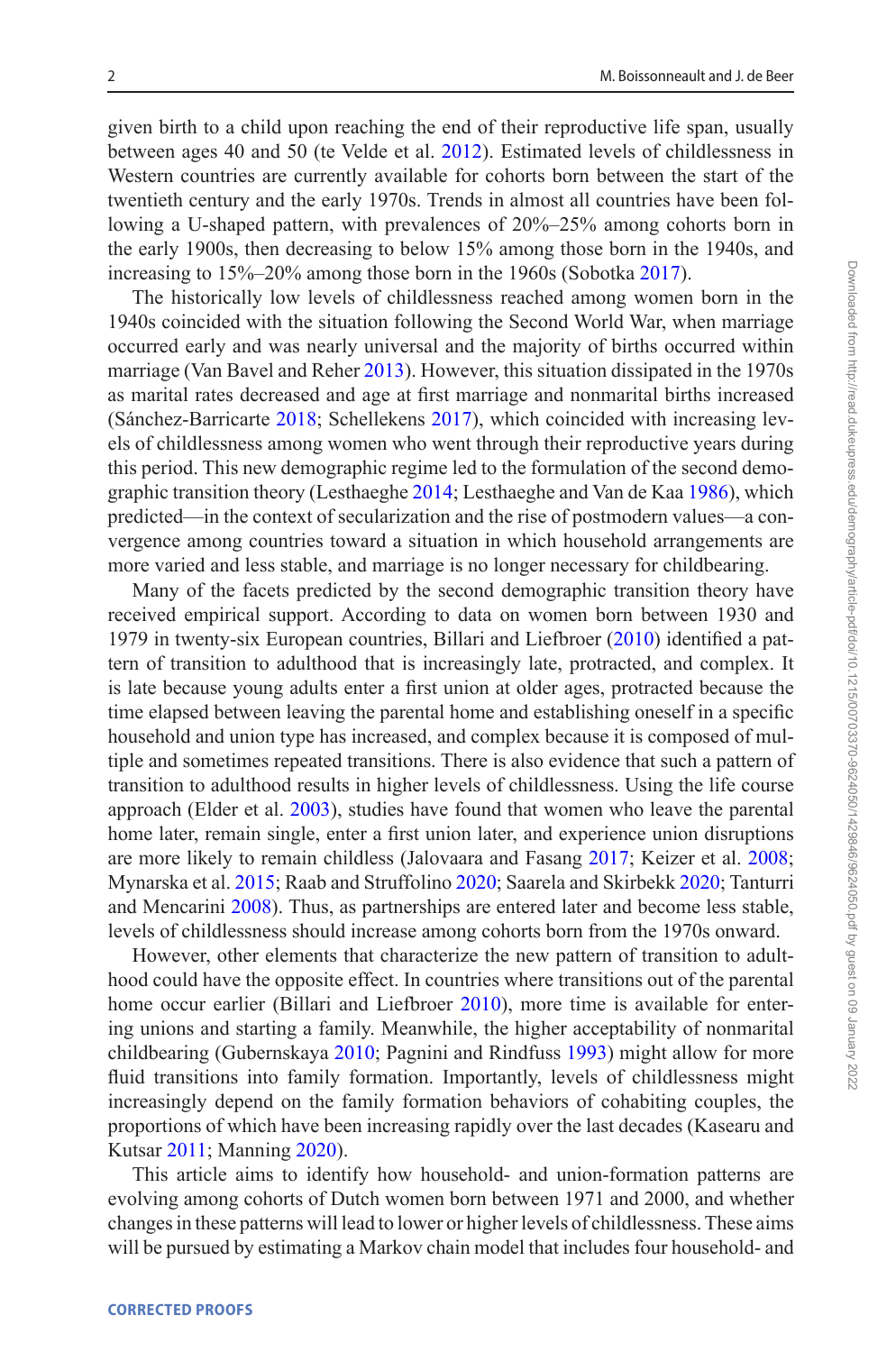given birth to a child upon reaching the end of their reproductive life span, usually between ages 40 and 50 (te Velde et al. [2012](#page-23-2)). Estimated levels of childlessness in Western countries are currently available for cohorts born between the start of the twentieth century and the early 1970s. Trends in almost all countries have been following a U-shaped pattern, with prevalences of 20%–25% among cohorts born in the early 1900s, then decreasing to below 15% among those born in the 1940s, and increasing to 15%–20% among those born in the 1960s (Sobotka [2017](#page-22-0)).

The historically low levels of childlessness reached among women born in the 1940s coincided with the situation following the Second World War, when marriage occurred early and was nearly universal and the majority of births occurred within marriage (Van Bavel and Reher [2013](#page-23-3)). However, this situation dissipated in the 1970s as marital rates decreased and age at first marriage and nonmarital births increased (Sánchez-Barricarte [2018;](#page-22-1) Schellekens [2017](#page-22-2)), which coincided with increasing levels of childlessness among women who went through their reproductive years during this period. This new demographic regime led to the formulation of the second demographic transition theory (Lesthaeghe [2014](#page-21-0); Lesthaeghe and Van de Kaa [1986\)](#page-21-1), which predicted—in the context of secularization and the rise of postmodern values—a convergence among countries toward a situation in which household arrangements are more varied and less stable, and marriage is no longer necessary for childbearing.

Many of the facets predicted by the second demographic transition theory have received empirical support. According to data on women born between 1930 and 1979 in twenty-six European countries, Billari and Liefbroer [\(2010](#page-20-2)) identified a pattern of transition to adulthood that is increasingly late, protracted, and complex. It is late because young adults enter a first union at older ages, protracted because the time elapsed between leaving the parental home and establishing oneself in a specific household and union type has increased, and complex because it is composed of multiple and sometimes repeated transitions. There is also evidence that such a pattern of transition to adulthood results in higher levels of childlessness. Using the life course approach (Elder et al. [2003\)](#page-20-3), studies have found that women who leave the parental home later, remain single, enter a first union later, and experience union disruptions are more likely to remain childless (Jalovaara and Fasang [2017;](#page-21-2) Keizer et al. [2008](#page-21-3); Mynarska et al. [2015](#page-21-4); Raab and Struffolino [2020](#page-22-3); Saarela and Skirbekk [2020;](#page-22-4) Tanturri and Mencarini [2008\)](#page-23-4). Thus, as partnerships are entered later and become less stable, levels of childlessness should increase among cohorts born from the 1970s onward.

However, other elements that characterize the new pattern of transition to adulthood could have the opposite effect. In countries where transitions out of the parental home occur earlier (Billari and Liefbroer [2010\)](#page-20-2), more time is available for entering unions and starting a family. Meanwhile, the higher acceptability of nonmarital childbearing (Gubernskaya [2010;](#page-21-5) Pagnini and Rindfuss [1993](#page-22-5)) might allow for more fluid transitions into family formation. Importantly, levels of childlessness might increasingly depend on the family formation behaviors of cohabiting couples, the proportions of which have been increasing rapidly over the last decades (Kasearu and Kutsar [2011;](#page-21-6) Manning [2020\)](#page-21-7).

This article aims to identify how household- and union-formation patterns are evolving among cohorts of Dutch women born between 1971 and 2000, and whether changes in these patterns will lead to lower or higher levels of childlessness. These aims will be pursued by estimating a Markov chain model that includes four household- and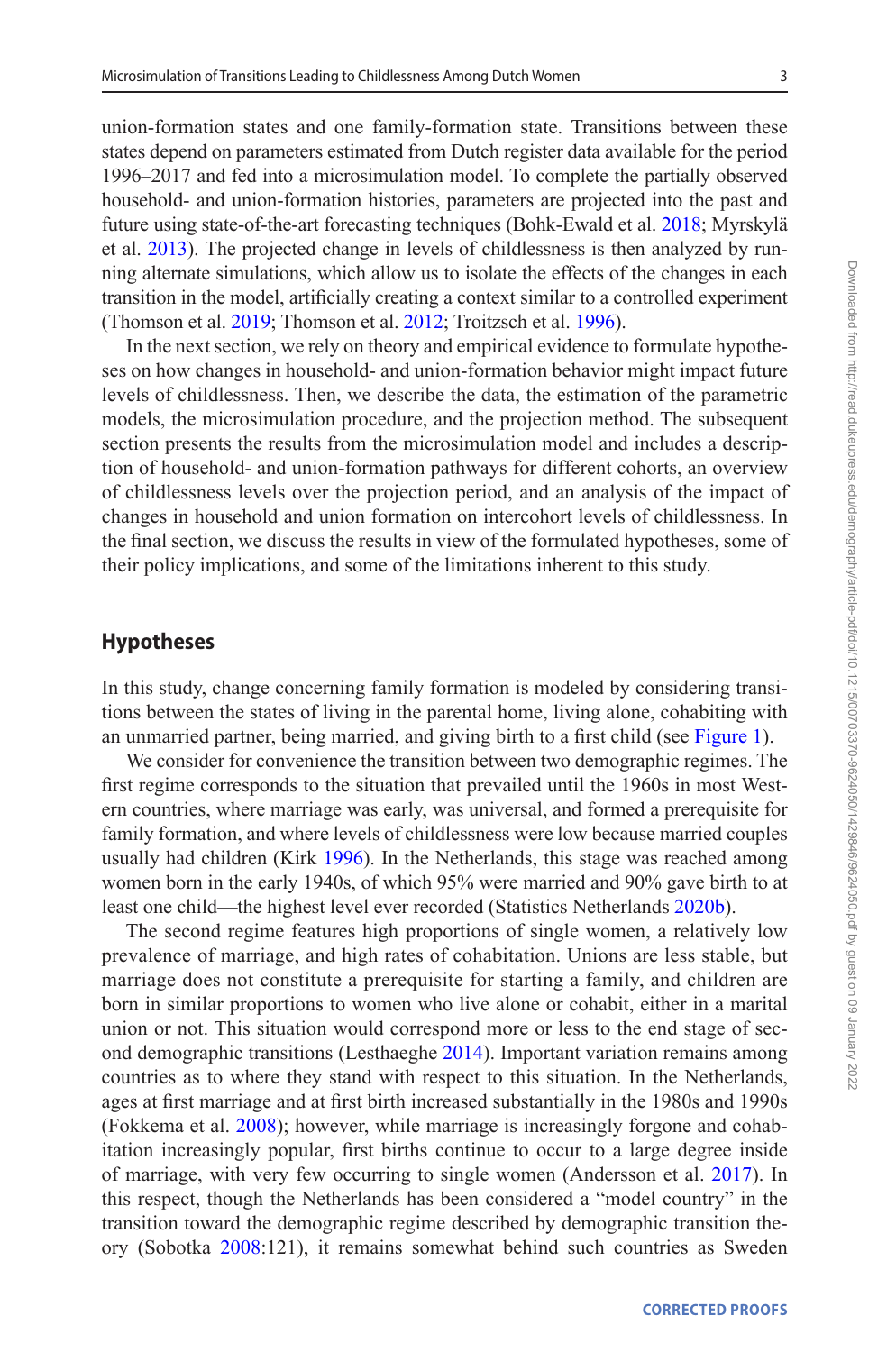union-formation states and one family-formation state. Transitions between these states depend on parameters estimated from Dutch register data available for the period 1996–2017 and fed into a microsimulation model. To complete the partially observed household- and union-formation histories, parameters are projected into the past and future using state-of-the-art forecasting techniques (Bohk-Ewald et al. [2018](#page-20-4); Myrskylä et al. [2013](#page-21-8)). The projected change in levels of childlessness is then analyzed by running alternate simulations, which allow us to isolate the effects of the changes in each transition in the model, artificially creating a context similar to a controlled experiment (Thomson et al. [2019](#page-23-5); Thomson et al. [2012](#page-23-6); Troitzsch et al. [1996\)](#page-23-7).

In the next section, we rely on theory and empirical evidence to formulate hypotheses on how changes in household- and union-formation behavior might impact future levels of childlessness. Then, we describe the data, the estimation of the parametric models, the microsimulation procedure, and the projection method. The subsequent section presents the results from the microsimulation model and includes a description of household- and union-formation pathways for different cohorts, an overview of childlessness levels over the projection period, and an analysis of the impact of changes in household and union formation on intercohort levels of childlessness. In the final section, we discuss the results in view of the formulated hypotheses, some of their policy implications, and some of the limitations inherent to this study.

## **Hypotheses**

In this study, change concerning family formation is modeled by considering transitions between the states of living in the parental home, living alone, cohabiting with an unmarried partner, being married, and giving birth to a first child (see [Figure 1\)](#page-6-0).

We consider for convenience the transition between two demographic regimes. The first regime corresponds to the situation that prevailed until the 1960s in most Western countries, where marriage was early, was universal, and formed a prerequisite for family formation, and where levels of childlessness were low because married couples usually had children (Kirk [1996\)](#page-21-9). In the Netherlands, this stage was reached among women born in the early 1940s, of which 95% were married and 90% gave birth to at least one child—the highest level ever recorded (Statistics Netherlands [2020b\)](#page-22-6).

The second regime features high proportions of single women, a relatively low prevalence of marriage, and high rates of cohabitation. Unions are less stable, but marriage does not constitute a prerequisite for starting a family, and children are born in similar proportions to women who live alone or cohabit, either in a marital union or not. This situation would correspond more or less to the end stage of second demographic transitions (Lesthaeghe [2014](#page-21-0)). Important variation remains among countries as to where they stand with respect to this situation. In the Netherlands, ages at first marriage and at first birth increased substantially in the 1980s and 1990s (Fokkema et al. [2008](#page-21-10)); however, while marriage is increasingly forgone and cohabitation increasingly popular, first births continue to occur to a large degree inside of marriage, with very few occurring to single women (Andersson et al. [2017](#page-20-5)). In this respect, though the Netherlands has been considered a "model country" in the transition toward the demographic regime described by demographic transition theory (Sobotka [2008](#page-22-7):121), it remains somewhat behind such countries as Sweden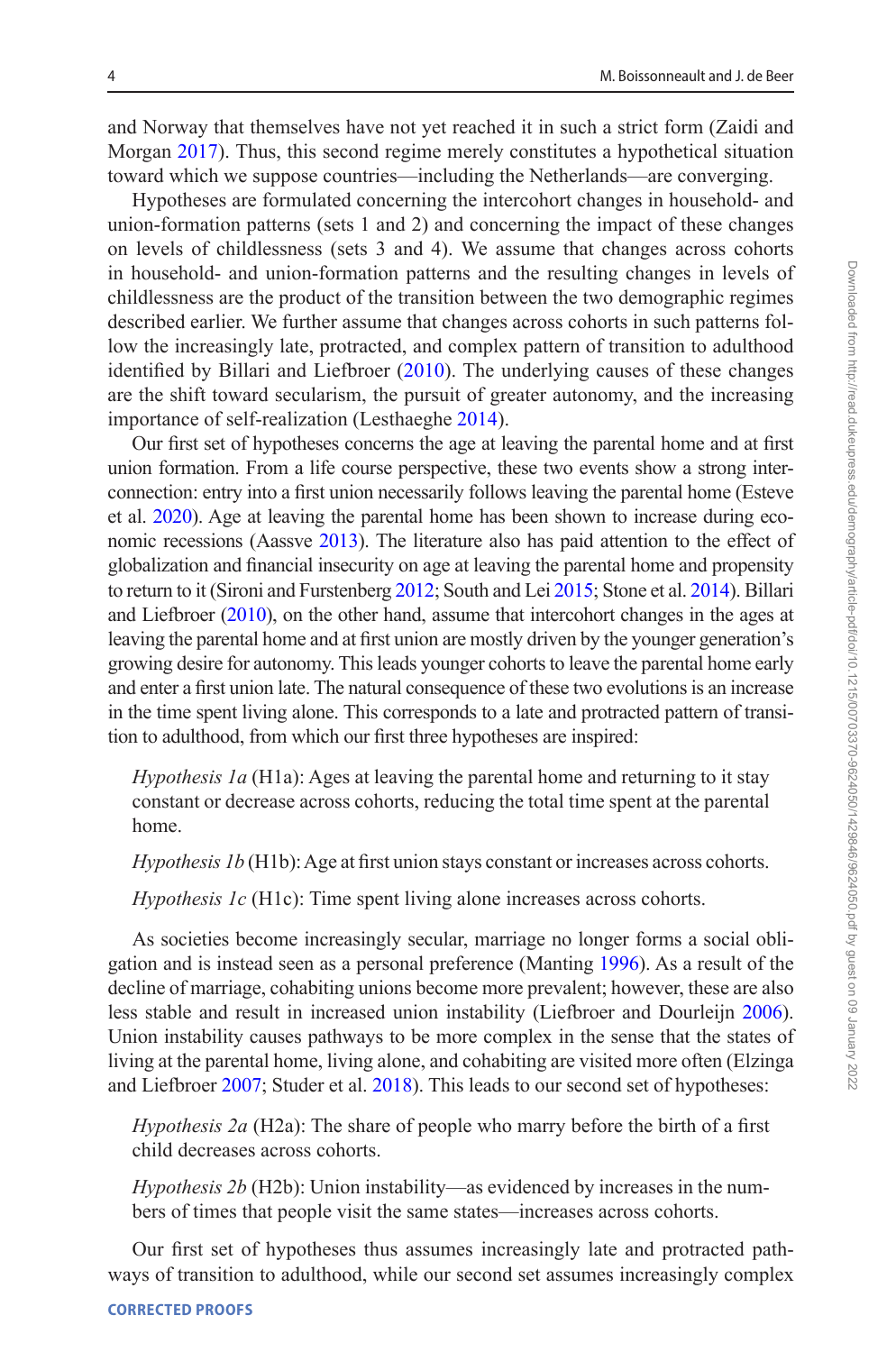and Norway that themselves have not yet reached it in such a strict form (Zaidi and Morgan [2017](#page-23-8)). Thus, this second regime merely constitutes a hypothetical situation toward which we suppose countries—including the Netherlands—are converging.

Hypotheses are formulated concerning the intercohort changes in household- and union-formation patterns (sets 1 and 2) and concerning the impact of these changes on levels of childlessness (sets 3 and 4). We assume that changes across cohorts in household- and union-formation patterns and the resulting changes in levels of childlessness are the product of the transition between the two demographic regimes described earlier. We further assume that changes across cohorts in such patterns follow the increasingly late, protracted, and complex pattern of transition to adulthood identified by Billari and Liefbroer ([2010\)](#page-20-2). The underlying causes of these changes are the shift toward secularism, the pursuit of greater autonomy, and the increasing importance of self-realization (Lesthaeghe [2014](#page-21-0)).

Our first set of hypotheses concerns the age at leaving the parental home and at first union formation. From a life course perspective, these two events show a strong interconnection: entry into a first union necessarily follows leaving the parental home (Esteve et al. [2020](#page-21-11)). Age at leaving the parental home has been shown to increase during economic recessions (Aassve [2013](#page-20-6)). The literature also has paid attention to the effect of globalization and financial insecurity on age at leaving the parental home and propensity to return to it (Sironi and Furstenberg [2012;](#page-22-8) South and Lei [2015](#page-22-9); Stone et al. [2014](#page-23-9)). Billari and Liefbroer [\(2010](#page-20-2)), on the other hand, assume that intercohort changes in the ages at leaving the parental home and at first union are mostly driven by the younger generation's growing desire for autonomy. This leads younger cohorts to leave the parental home early and enter a first union late. The natural consequence of these two evolutions is an increase in the time spent living alone. This corresponds to a late and protracted pattern of transition to adulthood, from which our first three hypotheses are inspired:

*Hypothesis 1a* (H1a): Ages at leaving the parental home and returning to it stay constant or decrease across cohorts, reducing the total time spent at the parental home.

*Hypothesis 1b* (H1b): Age at first union stays constant or increases across cohorts.

*Hypothesis 1c* (H1c): Time spent living alone increases across cohorts.

As societies become increasingly secular, marriage no longer forms a social obligation and is instead seen as a personal preference (Manting [1996\)](#page-21-12). As a result of the decline of marriage, cohabiting unions become more prevalent; however, these are also less stable and result in increased union instability (Liefbroer and Dourleijn [2006](#page-21-13)). Union instability causes pathways to be more complex in the sense that the states of living at the parental home, living alone, and cohabiting are visited more often (Elzinga and Liefbroer [2007;](#page-20-7) Studer et al. [2018](#page-23-10)). This leads to our second set of hypotheses:

*Hypothesis 2a* (H2a): The share of people who marry before the birth of a first child decreases across cohorts.

*Hypothesis 2b* (H2b): Union instability—as evidenced by increases in the numbers of times that people visit the same states—increases across cohorts.

Our first set of hypotheses thus assumes increasingly late and protracted pathways of transition to adulthood, while our second set assumes increasingly complex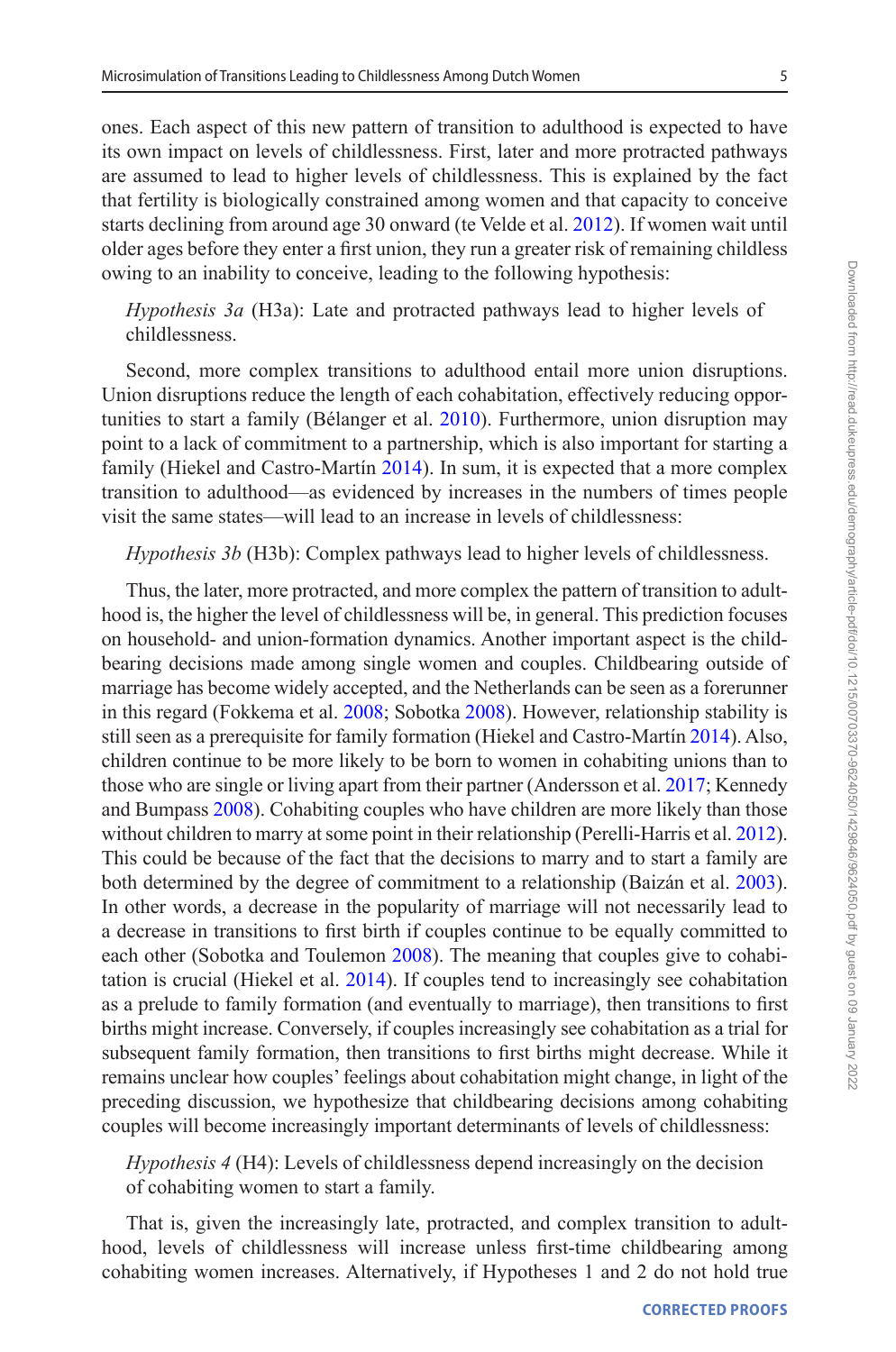ones. Each aspect of this new pattern of transition to adulthood is expected to have its own impact on levels of childlessness. First, later and more protracted pathways are assumed to lead to higher levels of childlessness. This is explained by the fact that fertility is biologically constrained among women and that capacity to conceive starts declining from around age 30 onward (te Velde et al. [2012](#page-23-2)). If women wait until older ages before they enter a first union, they run a greater risk of remaining childless owing to an inability to conceive, leading to the following hypothesis:

*Hypothesis 3a* (H3a): Late and protracted pathways lead to higher levels of childlessness.

Second, more complex transitions to adulthood entail more union disruptions. Union disruptions reduce the length of each cohabitation, effectively reducing opportunities to start a family (Bélanger et al. [2010\)](#page-20-8). Furthermore, union disruption may point to a lack of commitment to a partnership, which is also important for starting a family (Hiekel and Castro-Martín [2014](#page-21-14)). In sum, it is expected that a more complex transition to adulthood—as evidenced by increases in the numbers of times people visit the same states—will lead to an increase in levels of childlessness:

*Hypothesis 3b* (H3b): Complex pathways lead to higher levels of childlessness.

Thus, the later, more protracted, and more complex the pattern of transition to adulthood is, the higher the level of childlessness will be, in general. This prediction focuses on household- and union-formation dynamics. Another important aspect is the childbearing decisions made among single women and couples. Childbearing outside of marriage has become widely accepted, and the Netherlands can be seen as a forerunner in this regard (Fokkema et al. [2008;](#page-21-10) Sobotka [2008\)](#page-22-7). However, relationship stability is still seen as a prerequisite for family formation (Hiekel and Castro-Martín [2014\)](#page-21-14). Also, children continue to be more likely to be born to women in cohabiting unions than to those who are single or living apart from their partner (Andersson et al. [2017;](#page-20-5) Kennedy and Bumpass [2008\)](#page-21-15). Cohabiting couples who have children are more likely than those without children to marry at some point in their relationship (Perelli-Harris et al. [2012](#page-22-10)). This could be because of the fact that the decisions to marry and to start a family are both determined by the degree of commitment to a relationship (Baizán et al. [2003](#page-20-9)). In other words, a decrease in the popularity of marriage will not necessarily lead to a decrease in transitions to first birth if couples continue to be equally committed to each other (Sobotka and Toulemon [2008\)](#page-22-11). The meaning that couples give to cohabitation is crucial (Hiekel et al. [2014](#page-21-16)). If couples tend to increasingly see cohabitation as a prelude to family formation (and eventually to marriage), then transitions to first births might increase. Conversely, if couples increasingly see cohabitation as a trial for subsequent family formation, then transitions to first births might decrease. While it remains unclear how couples' feelings about cohabitation might change, in light of the preceding discussion, we hypothesize that childbearing decisions among cohabiting couples will become increasingly important determinants of levels of childlessness:

*Hypothesis 4* (H4): Levels of childlessness depend increasingly on the decision of cohabiting women to start a family.

That is, given the increasingly late, protracted, and complex transition to adulthood, levels of childlessness will increase unless first-time childbearing among cohabiting women increases. Alternatively, if Hypotheses 1 and 2 do not hold true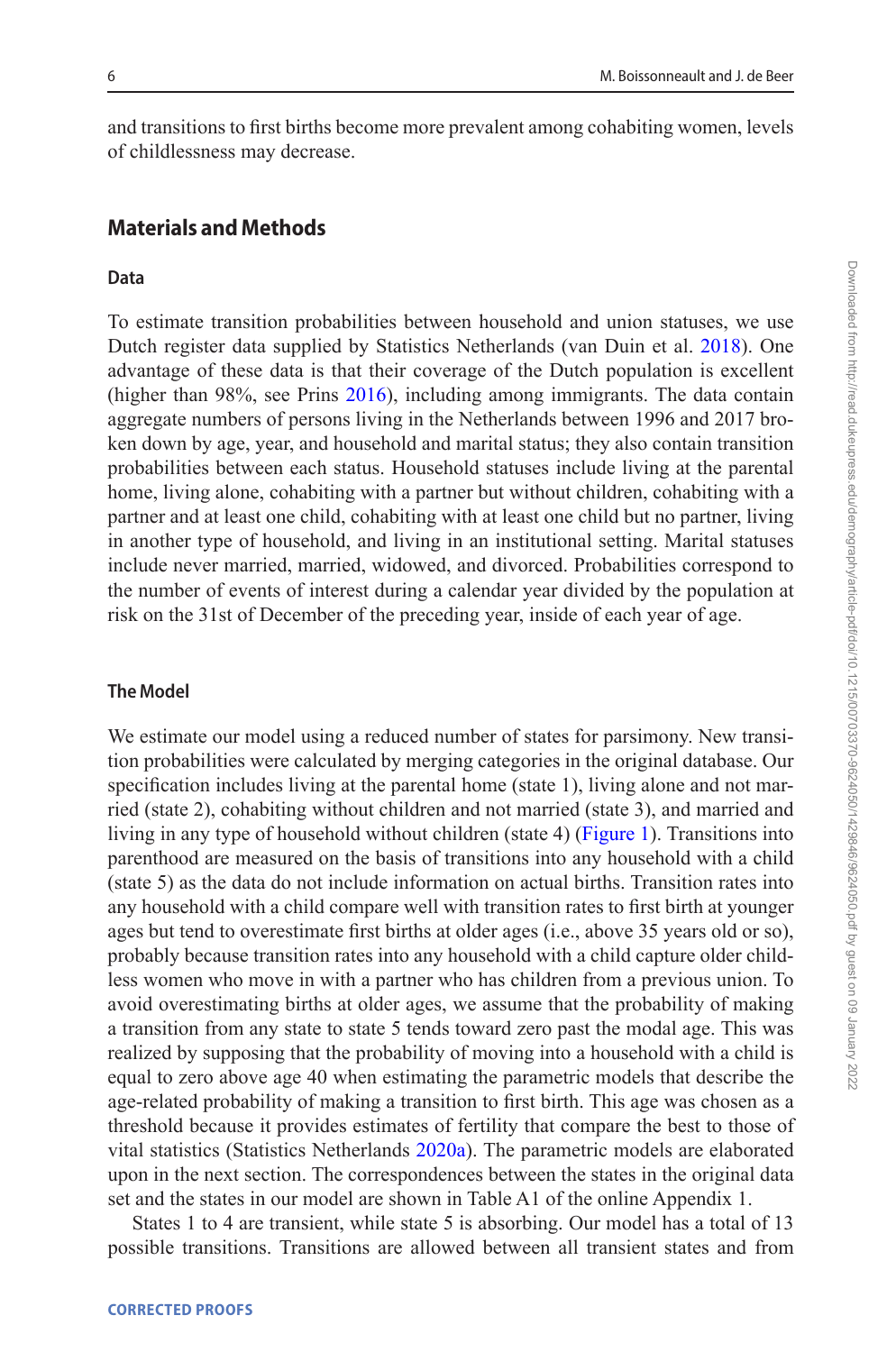and transitions to first births become more prevalent among cohabiting women, levels of childlessness may decrease.

## **Materials and Methods**

#### **Data**

To estimate transition probabilities between household and union statuses, we use Dutch register data supplied by Statistics Netherlands (van Duin et al. [2018](#page-23-11)). One advantage of these data is that their coverage of the Dutch population is excellent (higher than 98%, see Prins [2016](#page-22-12)), including among immigrants. The data contain aggregate numbers of persons living in the Netherlands between 1996 and 2017 broken down by age, year, and household and marital status; they also contain transition probabilities between each status. Household statuses include living at the parental home, living alone, cohabiting with a partner but without children, cohabiting with a partner and at least one child, cohabiting with at least one child but no partner, living in another type of household, and living in an institutional setting. Marital statuses include never married, married, widowed, and divorced. Probabilities correspond to the number of events of interest during a calendar year divided by the population at risk on the 31st of December of the preceding year, inside of each year of age.

## **The Model**

We estimate our model using a reduced number of states for parsimony. New transition probabilities were calculated by merging categories in the original database. Our specification includes living at the parental home (state 1), living alone and not married (state 2), cohabiting without children and not married (state 3), and married and living in any type of household without children (state 4) ([Figure 1](#page-6-0)). Transitions into parenthood are measured on the basis of transitions into any household with a child (state 5) as the data do not include information on actual births. Transition rates into any household with a child compare well with transition rates to first birth at younger ages but tend to overestimate first births at older ages (i.e., above 35 years old or so), probably because transition rates into any household with a child capture older childless women who move in with a partner who has children from a previous union. To avoid overestimating births at older ages, we assume that the probability of making a transition from any state to state 5 tends toward zero past the modal age. This was realized by supposing that the probability of moving into a household with a child is equal to zero above age 40 when estimating the parametric models that describe the age-related probability of making a transition to first birth. This age was chosen as a threshold because it provides estimates of fertility that compare the best to those of vital statistics (Statistics Netherlands [2020a](#page-22-13)). The parametric models are elaborated upon in the next section. The correspondences between the states in the original data set and the states in our model are shown in Table A1 of the online Appendix 1.

States 1 to 4 are transient, while state 5 is absorbing. Our model has a total of 13 possible transitions. Transitions are allowed between all transient states and from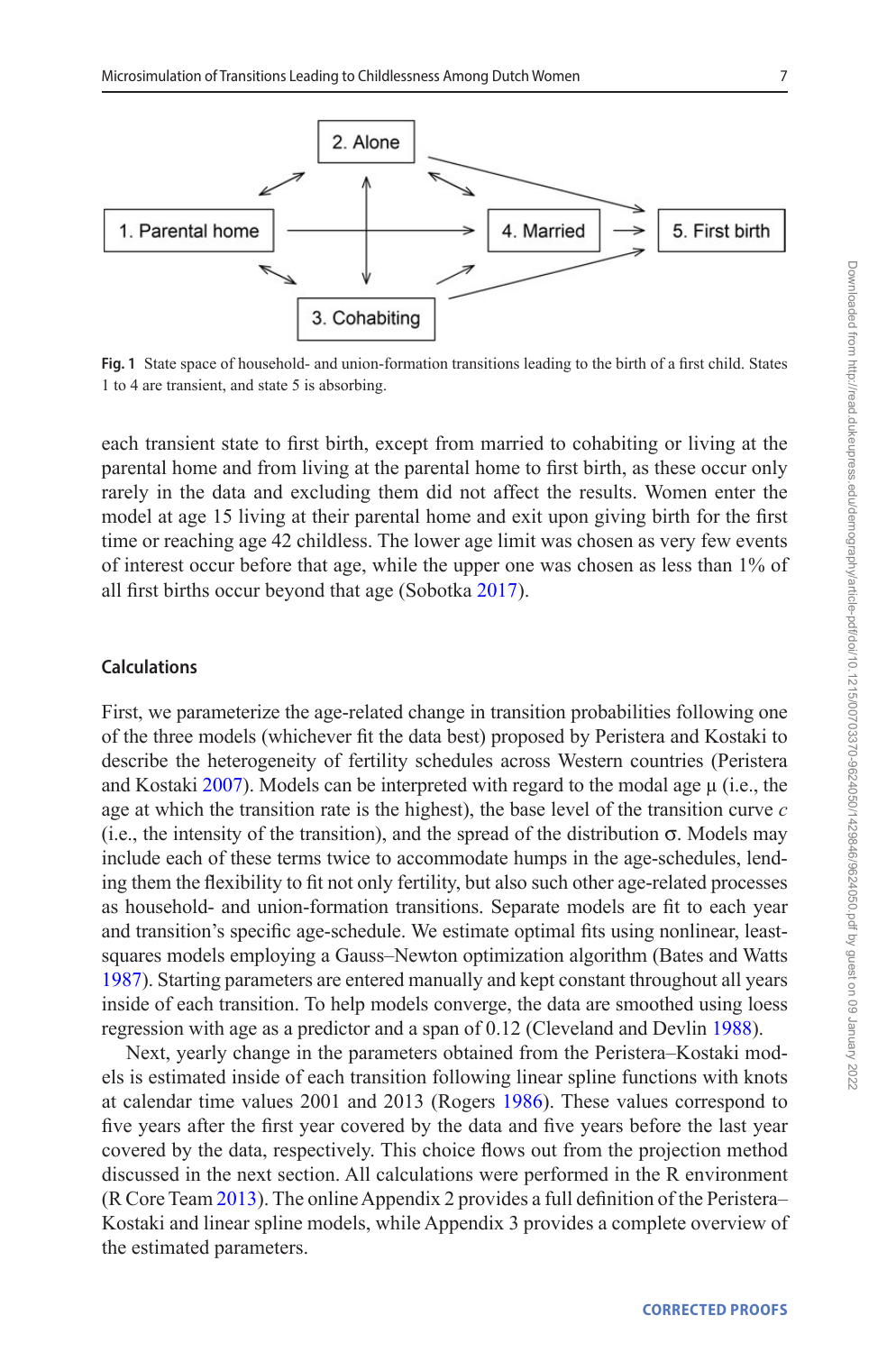

<span id="page-6-0"></span>**Fig. 1** State space of household- and union-formation transitions leading to the birth of a first child. States 1 to 4 are transient, and state 5 is absorbing.

each transient state to first birth, except from married to cohabiting or living at the parental home and from living at the parental home to first birth, as these occur only rarely in the data and excluding them did not affect the results. Women enter the model at age 15 living at their parental home and exit upon giving birth for the first time or reaching age 42 childless. The lower age limit was chosen as very few events of interest occur before that age, while the upper one was chosen as less than 1% of all first births occur beyond that age (Sobotka [2017\)](#page-22-0).

### **Calculations**

First, we parameterize the age-related change in transition probabilities following one of the three models (whichever fit the data best) proposed by Peristera and Kostaki to describe the heterogeneity of fertility schedules across Western countries (Peristera and Kostaki [2007\)](#page-22-14). Models can be interpreted with regard to the modal age  $\mu$  (i.e., the age at which the transition rate is the highest), the base level of the transition curve *c* (i.e., the intensity of the transition), and the spread of the distribution  $\sigma$ . Models may include each of these terms twice to accommodate humps in the age-schedules, lending them the flexibility to fit not only fertility, but also such other age-related processes as household- and union-formation transitions. Separate models are fit to each year and transition's specific age-schedule. We estimate optimal fits using nonlinear, leastsquares models employing a Gauss–Newton optimization algorithm (Bates and Watts [1987\)](#page-20-10). Starting parameters are entered manually and kept constant throughout all years inside of each transition. To help models converge, the data are smoothed using loess regression with age as a predictor and a span of 0.12 (Cleveland and Devlin [1988](#page-20-11)).

Next, yearly change in the parameters obtained from the Peristera–Kostaki models is estimated inside of each transition following linear spline functions with knots at calendar time values 2001 and 2013 (Rogers [1986](#page-22-15)). These values correspond to five years after the first year covered by the data and five years before the last year covered by the data, respectively. This choice flows out from the projection method discussed in the next section. All calculations were performed in the R environment (R Core Team [2013](#page-22-16)). The online Appendix 2 provides a full definition of the Peristera– Kostaki and linear spline models, while Appendix 3 provides a complete overview of the estimated parameters.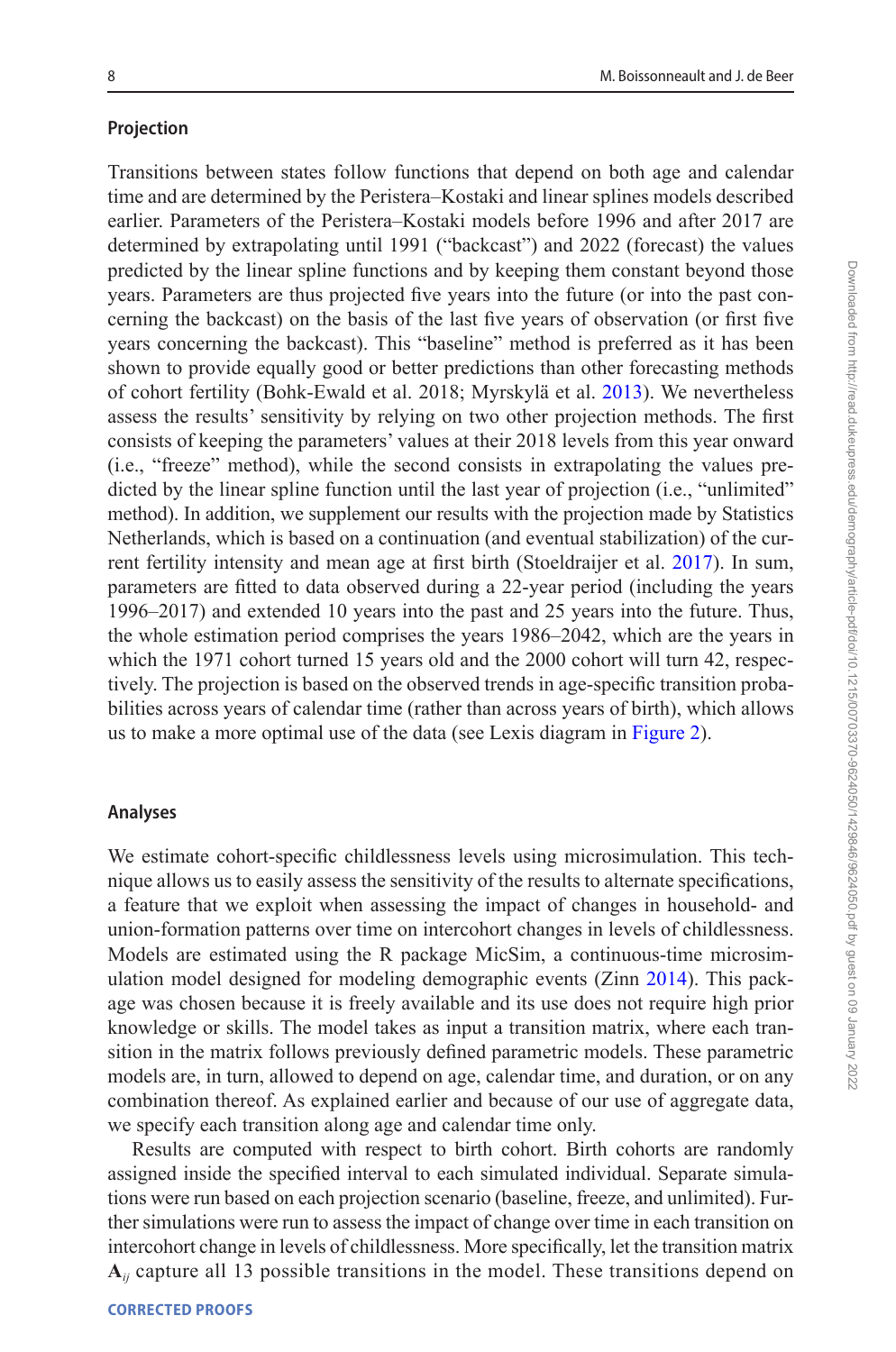#### **Projection**

Transitions between states follow functions that depend on both age and calendar time and are determined by the Peristera–Kostaki and linear splines models described earlier. Parameters of the Peristera–Kostaki models before 1996 and after 2017 are determined by extrapolating until 1991 ("backcast") and 2022 (forecast) the values predicted by the linear spline functions and by keeping them constant beyond those years. Parameters are thus projected five years into the future (or into the past concerning the backcast) on the basis of the last five years of observation (or first five years concerning the backcast). This "baseline" method is preferred as it has been shown to provide equally good or better predictions than other forecasting methods of cohort fertility (Bohk-Ewald et al. 2018; Myrskylä et al. [2013\)](#page-21-8). We nevertheless assess the results' sensitivity by relying on two other projection methods. The first consists of keeping the parameters' values at their 2018 levels from this year onward (i.e., "freeze" method), while the second consists in extrapolating the values predicted by the linear spline function until the last year of projection (i.e., "unlimited" method). In addition, we supplement our results with the projection made by Statistics Netherlands, which is based on a continuation (and eventual stabilization) of the current fertility intensity and mean age at first birth (Stoeldraijer et al. [2017](#page-22-17)). In sum, parameters are fitted to data observed during a 22-year period (including the years 1996–2017) and extended 10 years into the past and 25 years into the future. Thus, the whole estimation period comprises the years 1986–2042, which are the years in which the 1971 cohort turned 15 years old and the 2000 cohort will turn 42, respectively. The projection is based on the observed trends in age-specific transition probabilities across years of calendar time (rather than across years of birth), which allows us to make a more optimal use of the data (see Lexis diagram in [Figure 2\)](#page-8-0).

#### **Analyses**

We estimate cohort-specific childlessness levels using microsimulation. This technique allows us to easily assess the sensitivity of the results to alternate specifications, a feature that we exploit when assessing the impact of changes in household- and union-formation patterns over time on intercohort changes in levels of childlessness. Models are estimated using the R package MicSim, a continuous-time microsimulation model designed for modeling demographic events (Zinn [2014](#page-23-12)). This package was chosen because it is freely available and its use does not require high prior knowledge or skills. The model takes as input a transition matrix, where each transition in the matrix follows previously defined parametric models. These parametric models are, in turn, allowed to depend on age, calendar time, and duration, or on any combination thereof. As explained earlier and because of our use of aggregate data, we specify each transition along age and calendar time only.

Results are computed with respect to birth cohort. Birth cohorts are randomly assigned inside the specified interval to each simulated individual. Separate simulations were run based on each projection scenario (baseline, freeze, and unlimited). Further simulations were run to assess the impact of change over time in each transition on intercohort change in levels of childlessness. More specifically, let the transition matrix **A***ij* capture all 13 possible transitions in the model. These transitions depend on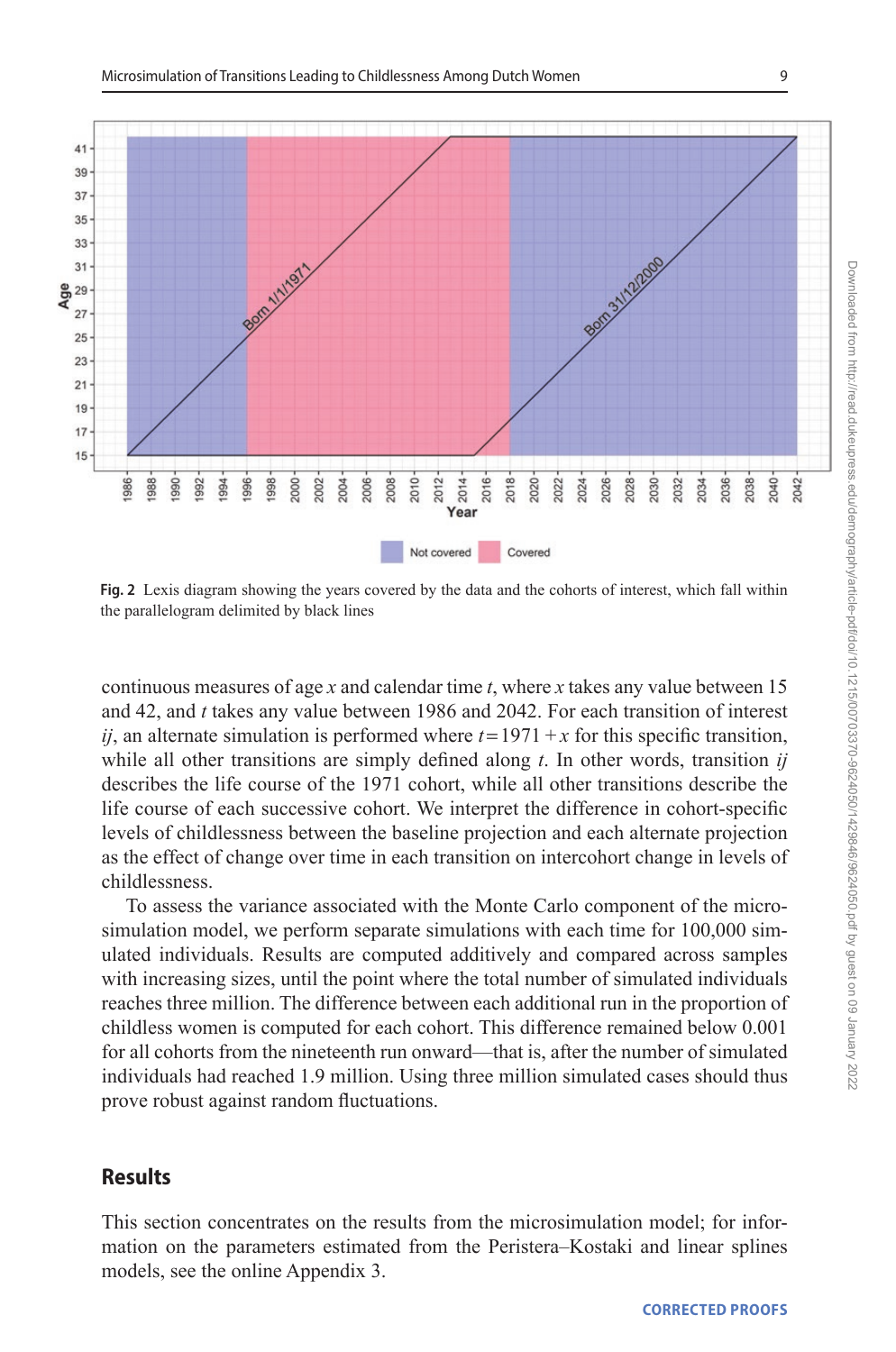

<span id="page-8-0"></span>**Fig. 2** Lexis diagram showing the years covered by the data and the cohorts of interest, which fall within the parallelogram delimited by black lines

continuous measures of age *x* and calendar time *t*, where *x* takes any value between 15 and 42, and *t* takes any value between 1986 and 2042. For each transition of interest *ij*, an alternate simulation is performed where  $t = 1971 + x$  for this specific transition, while all other transitions are simply defined along *t*. In other words, transition *ij* describes the life course of the 1971 cohort, while all other transitions describe the life course of each successive cohort. We interpret the difference in cohort-specific levels of childlessness between the baseline projection and each alternate projection as the effect of change over time in each transition on intercohort change in levels of childlessness.

To assess the variance associated with the Monte Carlo component of the microsimulation model, we perform separate simulations with each time for 100,000 simulated individuals. Results are computed additively and compared across samples with increasing sizes, until the point where the total number of simulated individuals reaches three million. The difference between each additional run in the proportion of childless women is computed for each cohort. This difference remained below 0.001 for all cohorts from the nineteenth run onward—that is, after the number of simulated individuals had reached 1.9 million. Using three million simulated cases should thus prove robust against random fluctuations.

## **Results**

This section concentrates on the results from the microsimulation model; for information on the parameters estimated from the Peristera–Kostaki and linear splines models, see the online Appendix 3.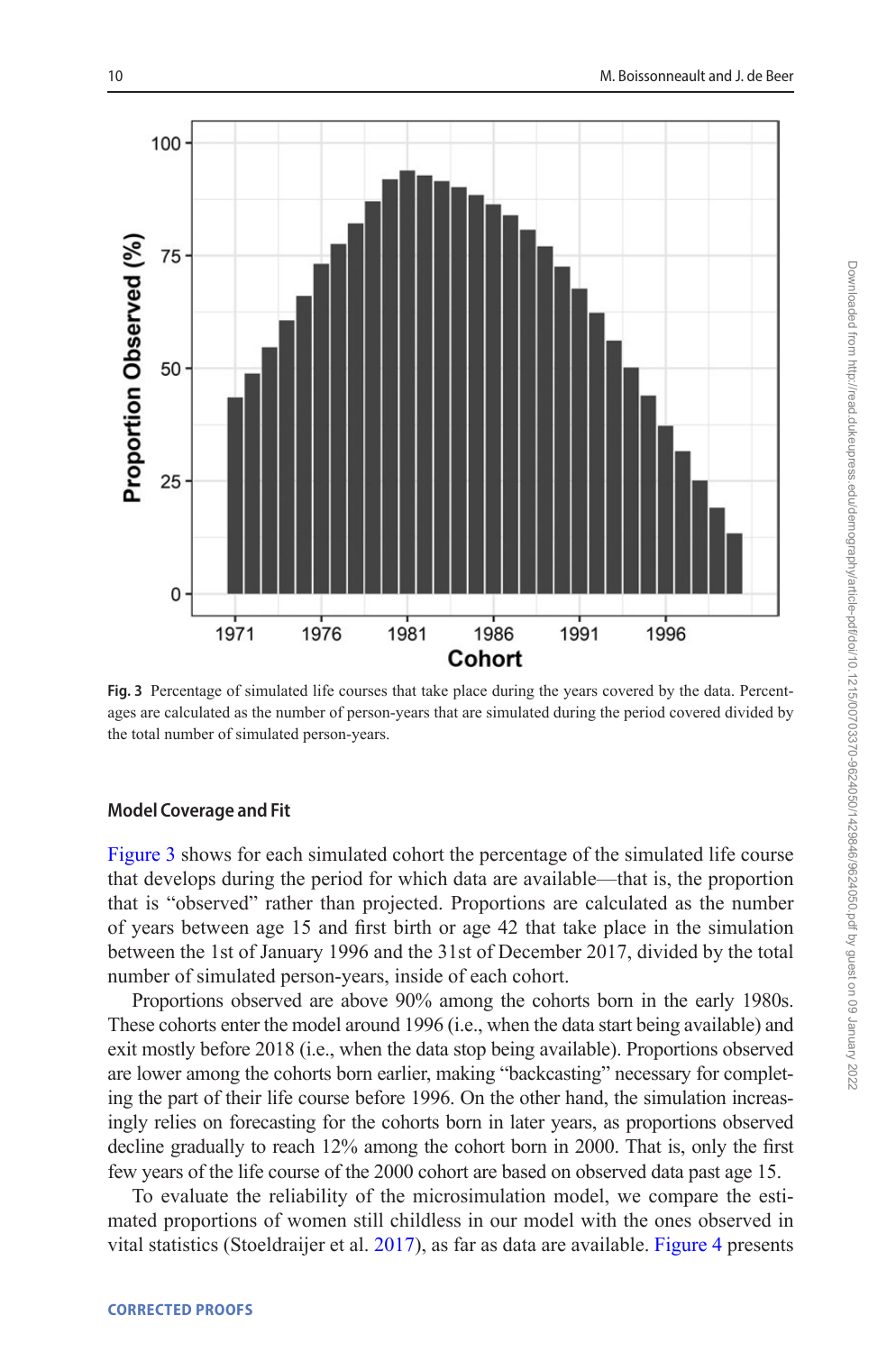

<span id="page-9-0"></span>**Fig. 3** Percentage of simulated life courses that take place during the years covered by the data. Percentages are calculated as the number of person-years that are simulated during the period covered divided by the total number of simulated person-years.

## **Model Coverage and Fit**

[Figure 3](#page-9-0) shows for each simulated cohort the percentage of the simulated life course that develops during the period for which data are available—that is, the proportion that is "observed" rather than projected. Proportions are calculated as the number of years between age 15 and first birth or age 42 that take place in the simulation between the 1st of January 1996 and the 31st of December 2017, divided by the total number of simulated person-years, inside of each cohort.

Proportions observed are above 90% among the cohorts born in the early 1980s. These cohorts enter the model around 1996 (i.e., when the data start being available) and exit mostly before 2018 (i.e., when the data stop being available). Proportions observed are lower among the cohorts born earlier, making "backcasting" necessary for completing the part of their life course before 1996. On the other hand, the simulation increasingly relies on forecasting for the cohorts born in later years, as proportions observed decline gradually to reach 12% among the cohort born in 2000. That is, only the first few years of the life course of the 2000 cohort are based on observed data past age 15.

To evaluate the reliability of the microsimulation model, we compare the estimated proportions of women still childless in our model with the ones observed in vital statistics (Stoeldraijer et al. [2017](#page-22-17)), as far as data are available. [Figure 4](#page-10-0) presents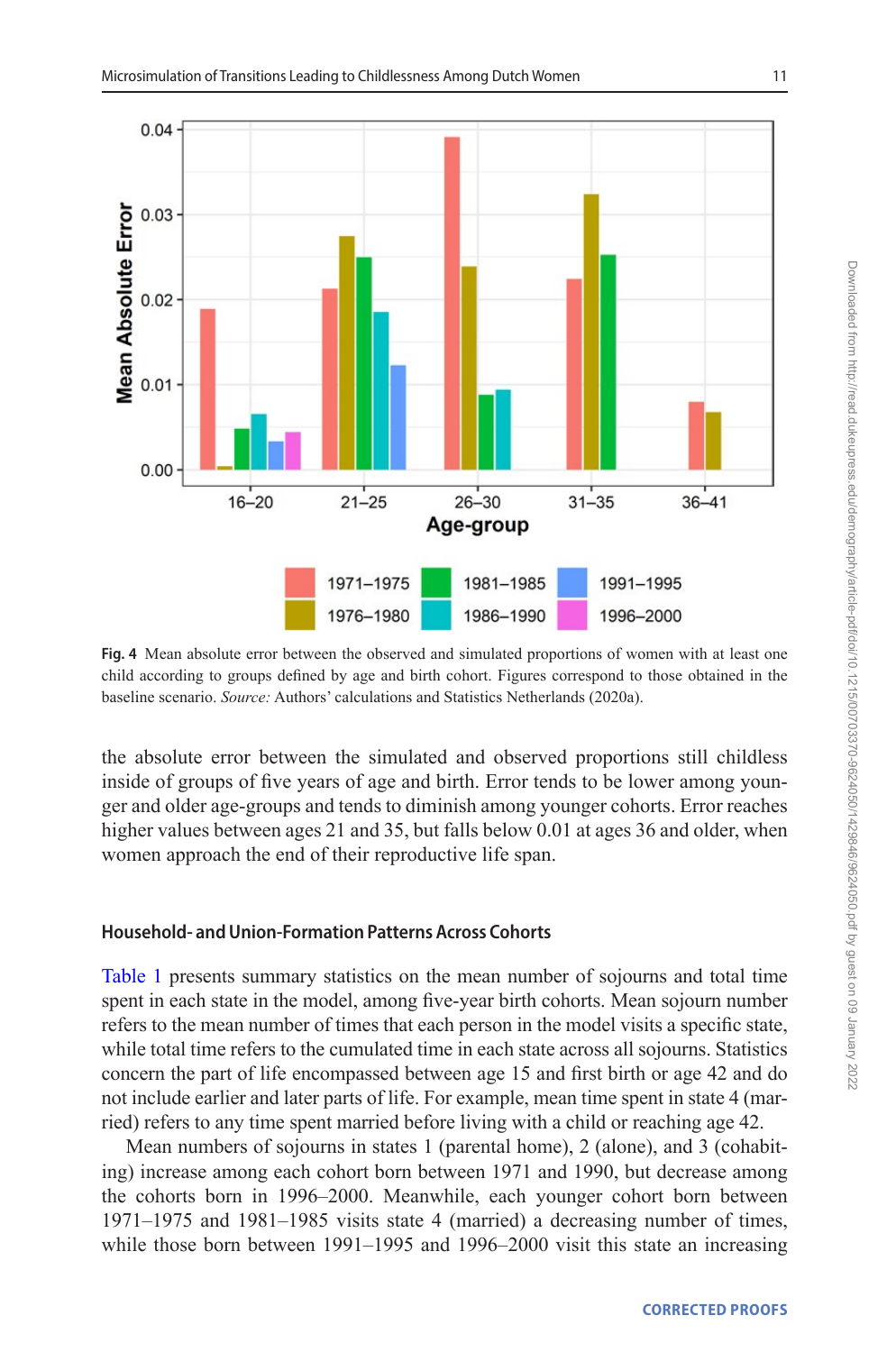

<span id="page-10-0"></span>**Fig. 4** Mean absolute error between the observed and simulated proportions of women with at least one child according to groups defined by age and birth cohort. Figures correspond to those obtained in the baseline scenario. *Source:* Authors' calculations and Statistics Netherlands (2020a).

the absolute error between the simulated and observed proportions still childless inside of groups of five years of age and birth. Error tends to be lower among younger and older age-groups and tends to diminish among younger cohorts. Error reaches higher values between ages 21 and 35, but falls below 0.01 at ages 36 and older, when women approach the end of their reproductive life span.

## **Household- and Union-Formation Patterns Across Cohorts**

[Table 1](#page-11-0) presents summary statistics on the mean number of sojourns and total time spent in each state in the model, among five-year birth cohorts. Mean sojourn number refers to the mean number of times that each person in the model visits a specific state, while total time refers to the cumulated time in each state across all sojourns. Statistics concern the part of life encompassed between age 15 and first birth or age 42 and do not include earlier and later parts of life. For example, mean time spent in state 4 (married) refers to any time spent married before living with a child or reaching age 42.

Mean numbers of sojourns in states 1 (parental home), 2 (alone), and 3 (cohabiting) increase among each cohort born between 1971 and 1990, but decrease among the cohorts born in 1996–2000. Meanwhile, each younger cohort born between 1971–1975 and 1981–1985 visits state 4 (married) a decreasing number of times, while those born between 1991–1995 and 1996–2000 visit this state an increasing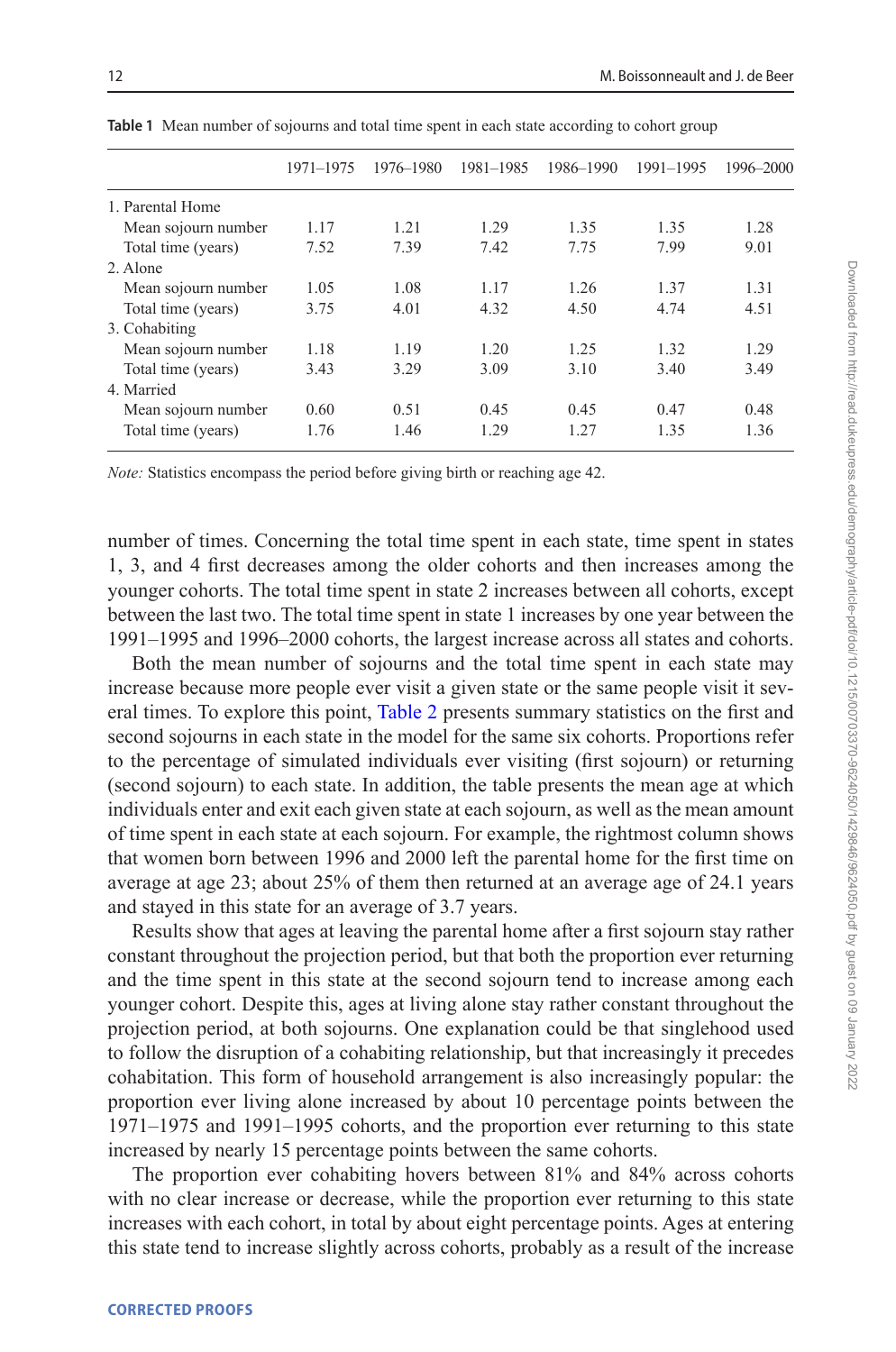|                     | 1971-1975 | 1976–1980 | 1981-1985 | 1986-1990 | 1991-1995 | 1996-2000 |
|---------------------|-----------|-----------|-----------|-----------|-----------|-----------|
| 1. Parental Home    |           |           |           |           |           |           |
| Mean sojourn number | 1.17      | 1.21      | 1.29      | 1.35      | 1.35      | 1.28      |
| Total time (years)  | 7.52      | 7.39      | 7.42      | 7.75      | 7.99      | 9.01      |
| 2. Alone            |           |           |           |           |           |           |
| Mean sojourn number | 1.05      | 1.08      | 1.17      | 1.26      | 1.37      | 1.31      |
| Total time (years)  | 3.75      | 4.01      | 4.32      | 4.50      | 4.74      | 4.51      |
| 3. Cohabiting       |           |           |           |           |           |           |
| Mean sojourn number | 1.18      | 1.19      | 1.20      | 1.25      | 1.32      | 1.29      |
| Total time (years)  | 3.43      | 3.29      | 3.09      | 3.10      | 3.40      | 3.49      |
| 4. Married          |           |           |           |           |           |           |
| Mean sojourn number | 0.60      | 0.51      | 0.45      | 0.45      | 0.47      | 0.48      |
| Total time (years)  | 1.76      | 1.46      | 1.29      | 1.27      | 1.35      | 1.36      |

<span id="page-11-0"></span>**Table 1** Mean number of sojourns and total time spent in each state according to cohort group

*Note:* Statistics encompass the period before giving birth or reaching age 42.

number of times. Concerning the total time spent in each state, time spent in states 1, 3, and 4 first decreases among the older cohorts and then increases among the younger cohorts. The total time spent in state 2 increases between all cohorts, except between the last two. The total time spent in state 1 increases by one year between the 1991–1995 and 1996–2000 cohorts, the largest increase across all states and cohorts.

Both the mean number of sojourns and the total time spent in each state may increase because more people ever visit a given state or the same people visit it several times. To explore this point, [Table 2](#page-12-0) presents summary statistics on the first and second sojourns in each state in the model for the same six cohorts. Proportions refer to the percentage of simulated individuals ever visiting (first sojourn) or returning (second sojourn) to each state. In addition, the table presents the mean age at which individuals enter and exit each given state at each sojourn, as well as the mean amount of time spent in each state at each sojourn. For example, the rightmost column shows that women born between 1996 and 2000 left the parental home for the first time on average at age 23; about 25% of them then returned at an average age of 24.1 years and stayed in this state for an average of 3.7 years.

Results show that ages at leaving the parental home after a first sojourn stay rather constant throughout the projection period, but that both the proportion ever returning and the time spent in this state at the second sojourn tend to increase among each younger cohort. Despite this, ages at living alone stay rather constant throughout the projection period, at both sojourns. One explanation could be that singlehood used to follow the disruption of a cohabiting relationship, but that increasingly it precedes cohabitation. This form of household arrangement is also increasingly popular: the proportion ever living alone increased by about 10 percentage points between the 1971–1975 and 1991–1995 cohorts, and the proportion ever returning to this state increased by nearly 15 percentage points between the same cohorts.

The proportion ever cohabiting hovers between 81% and 84% across cohorts with no clear increase or decrease, while the proportion ever returning to this state increases with each cohort, in total by about eight percentage points. Ages at entering this state tend to increase slightly across cohorts, probably as a result of the increase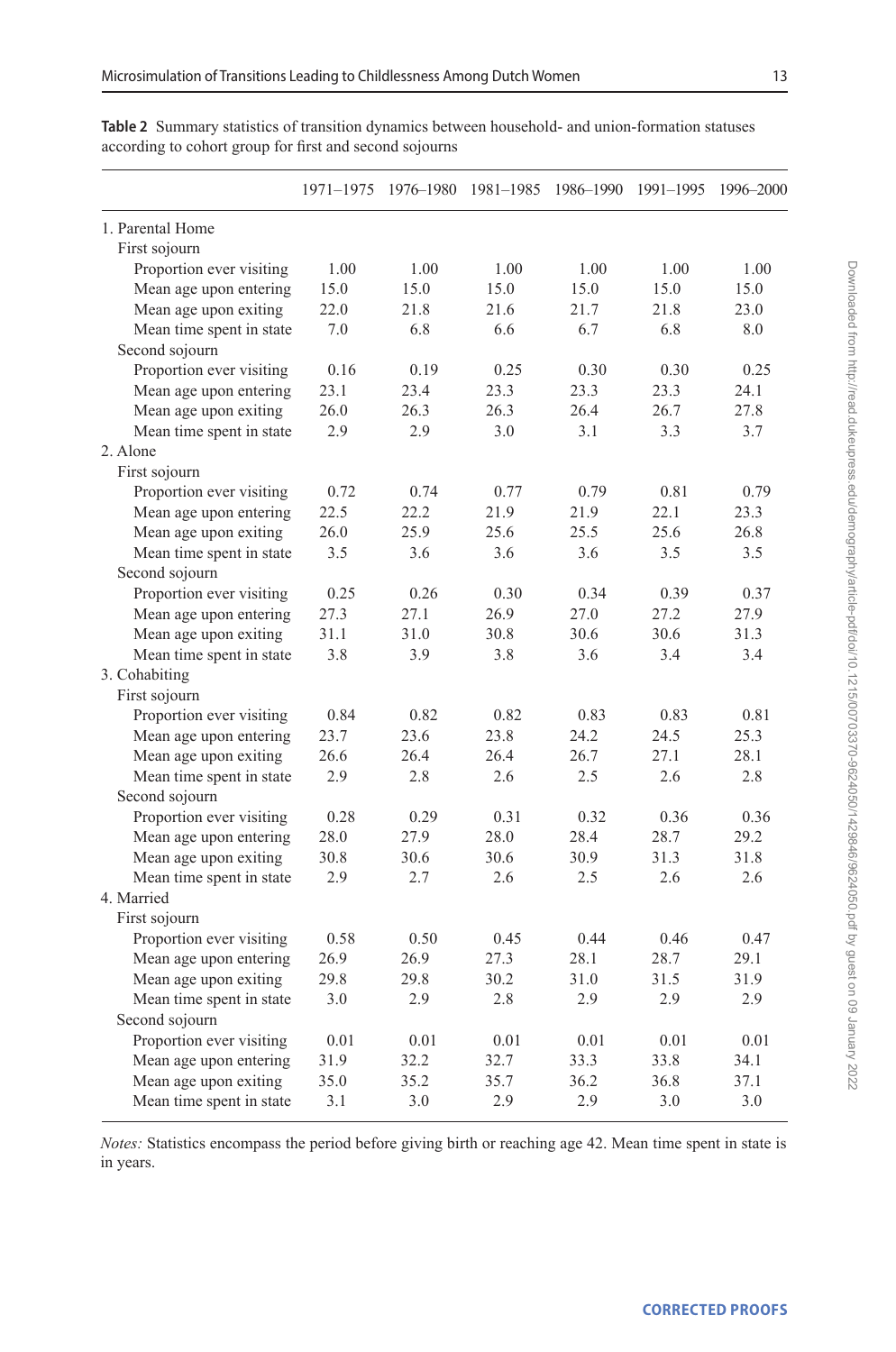|                          | 1971-1975 | 1976-1980 | 1981-1985 1986-1990 |      | 1991-1995 | 1996-2000 |
|--------------------------|-----------|-----------|---------------------|------|-----------|-----------|
| 1. Parental Home         |           |           |                     |      |           |           |
| First sojourn            |           |           |                     |      |           |           |
| Proportion ever visiting | 1.00      | 1.00      | 1.00                | 1.00 | 1.00      | 1.00      |
| Mean age upon entering   | 15.0      | 15.0      | 15.0                | 15.0 | 15.0      | 15.0      |
| Mean age upon exiting    | 22.0      | 21.8      | 21.6                | 21.7 | 21.8      | 23.0      |
| Mean time spent in state | 7.0       | 6.8       | 6.6                 | 6.7  | 6.8       | 8.0       |
| Second sojourn           |           |           |                     |      |           |           |
| Proportion ever visiting | 0.16      | 0.19      | 0.25                | 0.30 | 0.30      | 0.25      |
| Mean age upon entering   | 23.1      | 23.4      | 23.3                | 23.3 | 23.3      | 24.1      |
| Mean age upon exiting    | 26.0      | 26.3      | 26.3                | 26.4 | 26.7      | 27.8      |
| Mean time spent in state | 2.9       | 2.9       | 3.0                 | 3.1  | 3.3       | 3.7       |
| 2. Alone                 |           |           |                     |      |           |           |
| First sojourn            |           |           |                     |      |           |           |
| Proportion ever visiting | 0.72      | 0.74      | 0.77                | 0.79 | 0.81      | 0.79      |
| Mean age upon entering   | 22.5      | 22.2      | 21.9                | 21.9 | 22.1      | 23.3      |
| Mean age upon exiting    | 26.0      | 25.9      | 25.6                | 25.5 | 25.6      | 26.8      |
| Mean time spent in state | 3.5       | 3.6       | 3.6                 | 3.6  | 3.5       | 3.5       |
| Second sojourn           |           |           |                     |      |           |           |
| Proportion ever visiting | 0.25      | 0.26      | 0.30                | 0.34 | 0.39      | 0.37      |
| Mean age upon entering   | 27.3      | 27.1      | 26.9                | 27.0 | 27.2      | 27.9      |
| Mean age upon exiting    | 31.1      | 31.0      | 30.8                | 30.6 | 30.6      | 31.3      |
| Mean time spent in state | 3.8       | 3.9       | 3.8                 | 3.6  | 3.4       | 3.4       |
| 3. Cohabiting            |           |           |                     |      |           |           |
| First sojourn            |           |           |                     |      |           |           |
| Proportion ever visiting | 0.84      | 0.82      | 0.82                | 0.83 | 0.83      | 0.81      |
| Mean age upon entering   | 23.7      | 23.6      | 23.8                | 24.2 | 24.5      | 25.3      |
| Mean age upon exiting    | 26.6      | 26.4      | 26.4                | 26.7 | 27.1      | 28.1      |
| Mean time spent in state | 2.9       | 2.8       | 2.6                 | 2.5  | 2.6       | 2.8       |
| Second sojourn           |           |           |                     |      |           |           |
| Proportion ever visiting | 0.28      | 0.29      | 0.31                | 0.32 | 0.36      | 0.36      |
| Mean age upon entering   | 28.0      | 27.9      | 28.0                | 28.4 | 28.7      | 29.2      |
| Mean age upon exiting    | 30.8      | 30.6      | 30.6                | 30.9 | 31.3      | 31.8      |
| Mean time spent in state | 2.9       | 2.7       | 2.6                 | 2.5  | 2.6       | 2.6       |
| 4. Married               |           |           |                     |      |           |           |
| First sojourn            |           |           |                     |      |           |           |
| Proportion ever visiting | 0.58      | 0.50      | 0.45                | 0.44 | 0.46      | 0.47      |
| Mean age upon entering   | 26.9      | 26.9      | 27.3                | 28.1 | 28.7      | 29.1      |
| Mean age upon exiting    | 29.8      | 29.8      | 30.2                | 31.0 | 31.5      | 31.9      |
| Mean time spent in state | 3.0       | 2.9       | 2.8                 | 2.9  | 2.9       | 2.9       |
| Second sojourn           |           |           |                     |      |           |           |
| Proportion ever visiting | 0.01      | 0.01      | 0.01                | 0.01 | 0.01      | 0.01      |
| Mean age upon entering   | 31.9      | 32.2      | 32.7                | 33.3 | 33.8      | 34.1      |
| Mean age upon exiting    | 35.0      | 35.2      | 35.7                | 36.2 | 36.8      | 37.1      |
| Mean time spent in state | 3.1       | 3.0       | 2.9                 | 2.9  | 3.0       | 3.0       |

<span id="page-12-0"></span>**Table 2** Summary statistics of transition dynamics between household- and union-formation statuses according to cohort group for first and second sojourns

*Notes:* Statistics encompass the period before giving birth or reaching age 42. Mean time spent in state is in years.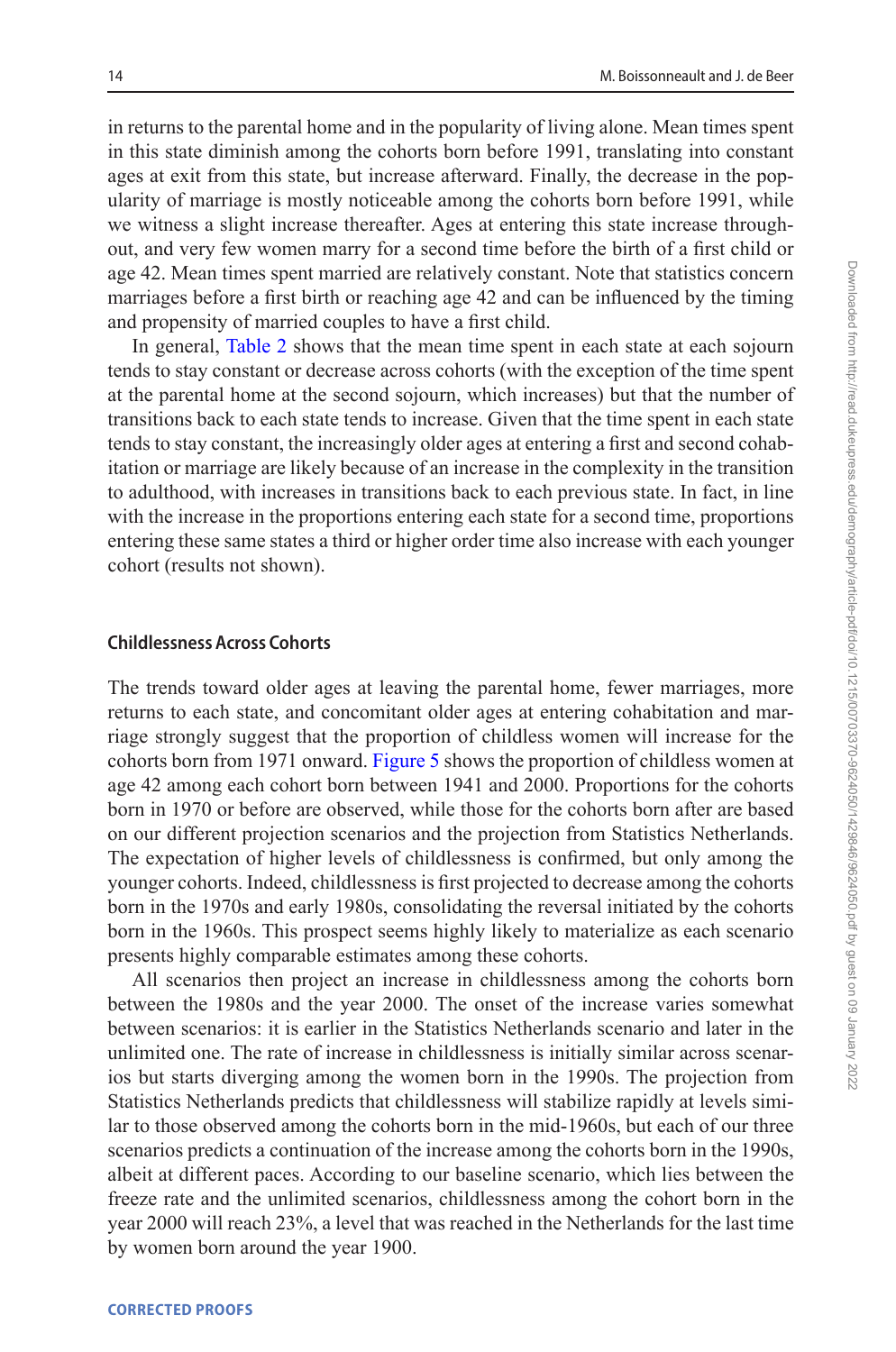in returns to the parental home and in the popularity of living alone. Mean times spent in this state diminish among the cohorts born before 1991, translating into constant ages at exit from this state, but increase afterward. Finally, the decrease in the popularity of marriage is mostly noticeable among the cohorts born before 1991, while we witness a slight increase thereafter. Ages at entering this state increase throughout, and very few women marry for a second time before the birth of a first child or age 42. Mean times spent married are relatively constant. Note that statistics concern marriages before a first birth or reaching age 42 and can be influenced by the timing and propensity of married couples to have a first child.

In general, [Table 2](#page-12-0) shows that the mean time spent in each state at each sojourn tends to stay constant or decrease across cohorts (with the exception of the time spent at the parental home at the second sojourn, which increases) but that the number of transitions back to each state tends to increase. Given that the time spent in each state tends to stay constant, the increasingly older ages at entering a first and second cohabitation or marriage are likely because of an increase in the complexity in the transition to adulthood, with increases in transitions back to each previous state. In fact, in line with the increase in the proportions entering each state for a second time, proportions entering these same states a third or higher order time also increase with each younger cohort (results not shown).

#### **Childlessness Across Cohorts**

The trends toward older ages at leaving the parental home, fewer marriages, more returns to each state, and concomitant older ages at entering cohabitation and marriage strongly suggest that the proportion of childless women will increase for the cohorts born from 1971 onward. [Figure 5](#page-14-0) shows the proportion of childless women at age 42 among each cohort born between 1941 and 2000. Proportions for the cohorts born in 1970 or before are observed, while those for the cohorts born after are based on our different projection scenarios and the projection from Statistics Netherlands. The expectation of higher levels of childlessness is confirmed, but only among the younger cohorts. Indeed, childlessness is first projected to decrease among the cohorts born in the 1970s and early 1980s, consolidating the reversal initiated by the cohorts born in the 1960s. This prospect seems highly likely to materialize as each scenario presents highly comparable estimates among these cohorts.

All scenarios then project an increase in childlessness among the cohorts born between the 1980s and the year 2000. The onset of the increase varies somewhat between scenarios: it is earlier in the Statistics Netherlands scenario and later in the unlimited one. The rate of increase in childlessness is initially similar across scenarios but starts diverging among the women born in the 1990s. The projection from Statistics Netherlands predicts that childlessness will stabilize rapidly at levels similar to those observed among the cohorts born in the mid-1960s, but each of our three scenarios predicts a continuation of the increase among the cohorts born in the 1990s, albeit at different paces. According to our baseline scenario, which lies between the freeze rate and the unlimited scenarios, childlessness among the cohort born in the year 2000 will reach 23%, a level that was reached in the Netherlands for the last time by women born around the year 1900.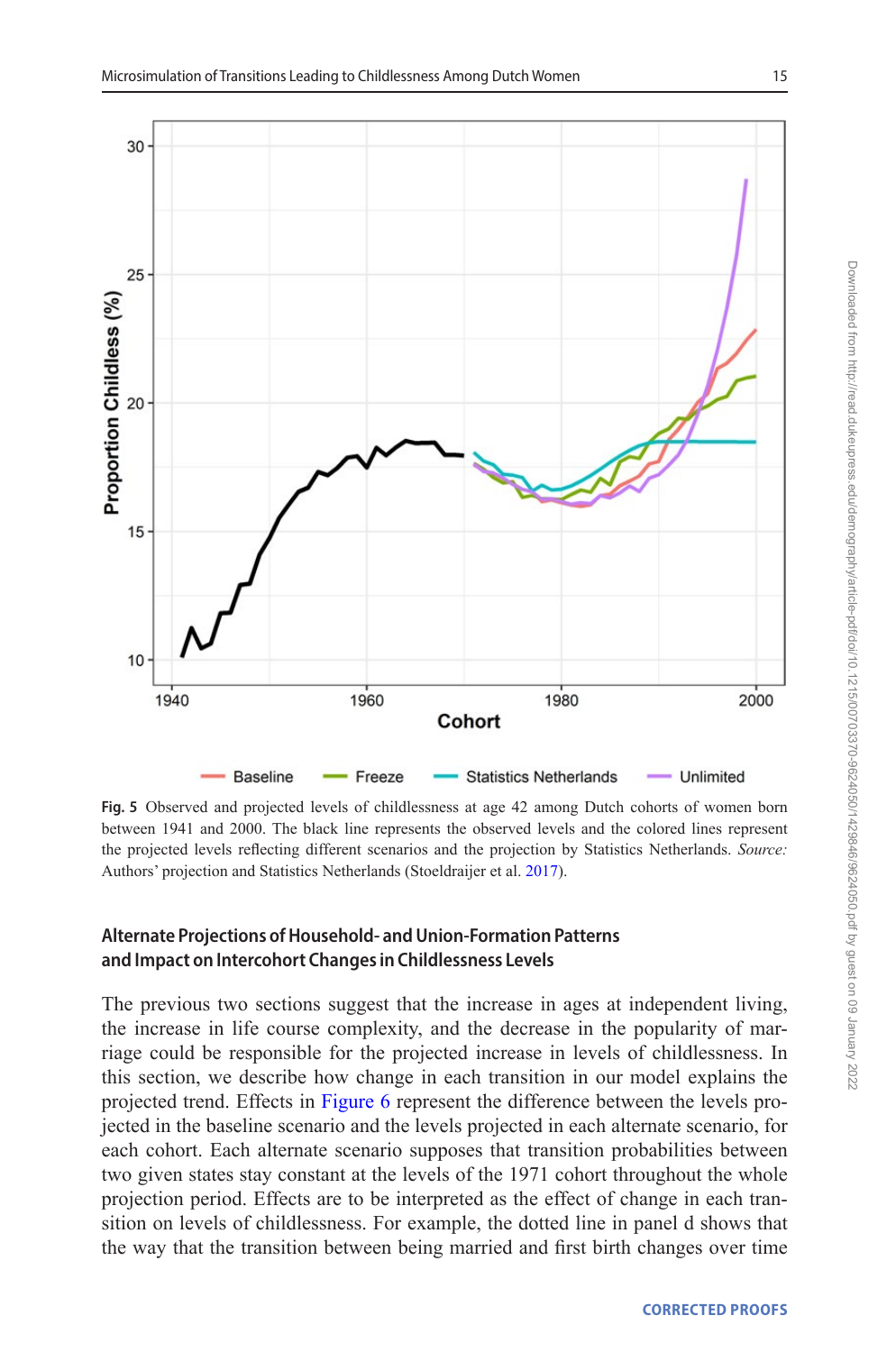

<span id="page-14-0"></span>**Fig. 5** Observed and projected levels of childlessness at age 42 among Dutch cohorts of women born between 1941 and 2000. The black line represents the observed levels and the colored lines represent the projected levels reflecting different scenarios and the projection by Statistics Netherlands. *Source:* Authors' projection and Statistics Netherlands (Stoeldraijer et al. [2017\)](#page-22-17).

## **Alternate Projections of Household- and Union-Formation Patterns and Impact on Intercohort Changes in Childlessness Levels**

The previous two sections suggest that the increase in ages at independent living, the increase in life course complexity, and the decrease in the popularity of marriage could be responsible for the projected increase in levels of childlessness. In this section, we describe how change in each transition in our model explains the projected trend. Effects in [Figure 6](#page-15-0) represent the difference between the levels projected in the baseline scenario and the levels projected in each alternate scenario, for each cohort. Each alternate scenario supposes that transition probabilities between two given states stay constant at the levels of the 1971 cohort throughout the whole projection period. Effects are to be interpreted as the effect of change in each transition on levels of childlessness. For example, the dotted line in panel d shows that the way that the transition between being married and first birth changes over time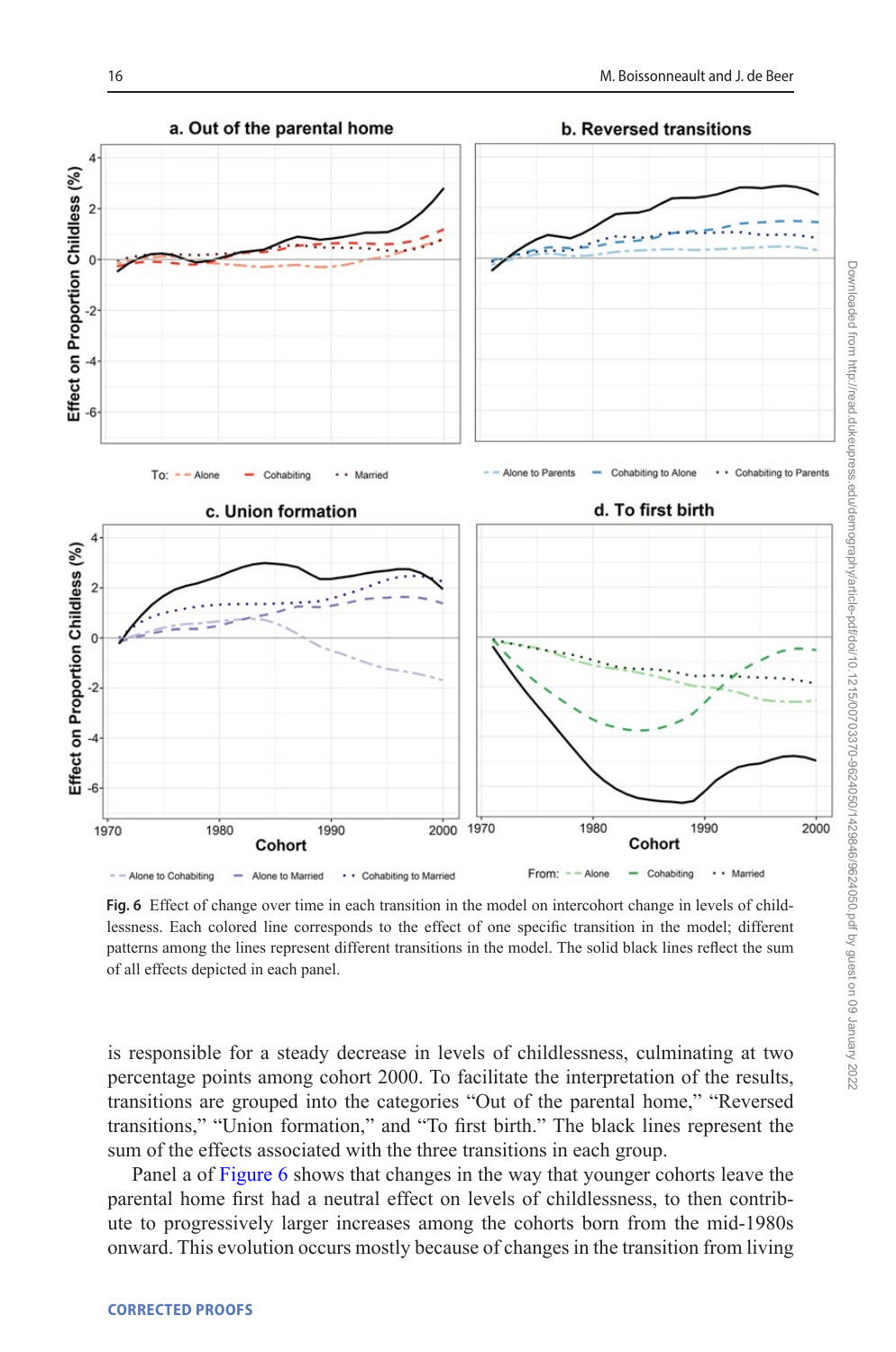

<span id="page-15-0"></span>From: - - Alone  $-$  Cohabiting · · Married - Alone to Married . . . Cohabiting to Married  $=$  - Alone to Cohabiting

**Fig. 6** Effect of change over time in each transition in the model on intercohort change in levels of childlessness. Each colored line corresponds to the effect of one specific transition in the model; different patterns among the lines represent different transitions in the model. The solid black lines reflect the sum of all effects depicted in each panel.

is responsible for a steady decrease in levels of childlessness, culminating at two percentage points among cohort 2000. To facilitate the interpretation of the results, transitions are grouped into the categories "Out of the parental home," "Reversed transitions," "Union formation," and "To first birth." The black lines represent the sum of the effects associated with the three transitions in each group.

Panel a of [Figure 6](#page-15-0) shows that changes in the way that younger cohorts leave the parental home first had a neutral effect on levels of childlessness, to then contribute to progressively larger increases among the cohorts born from the mid-1980s onward. This evolution occurs mostly because of changes in the transition from living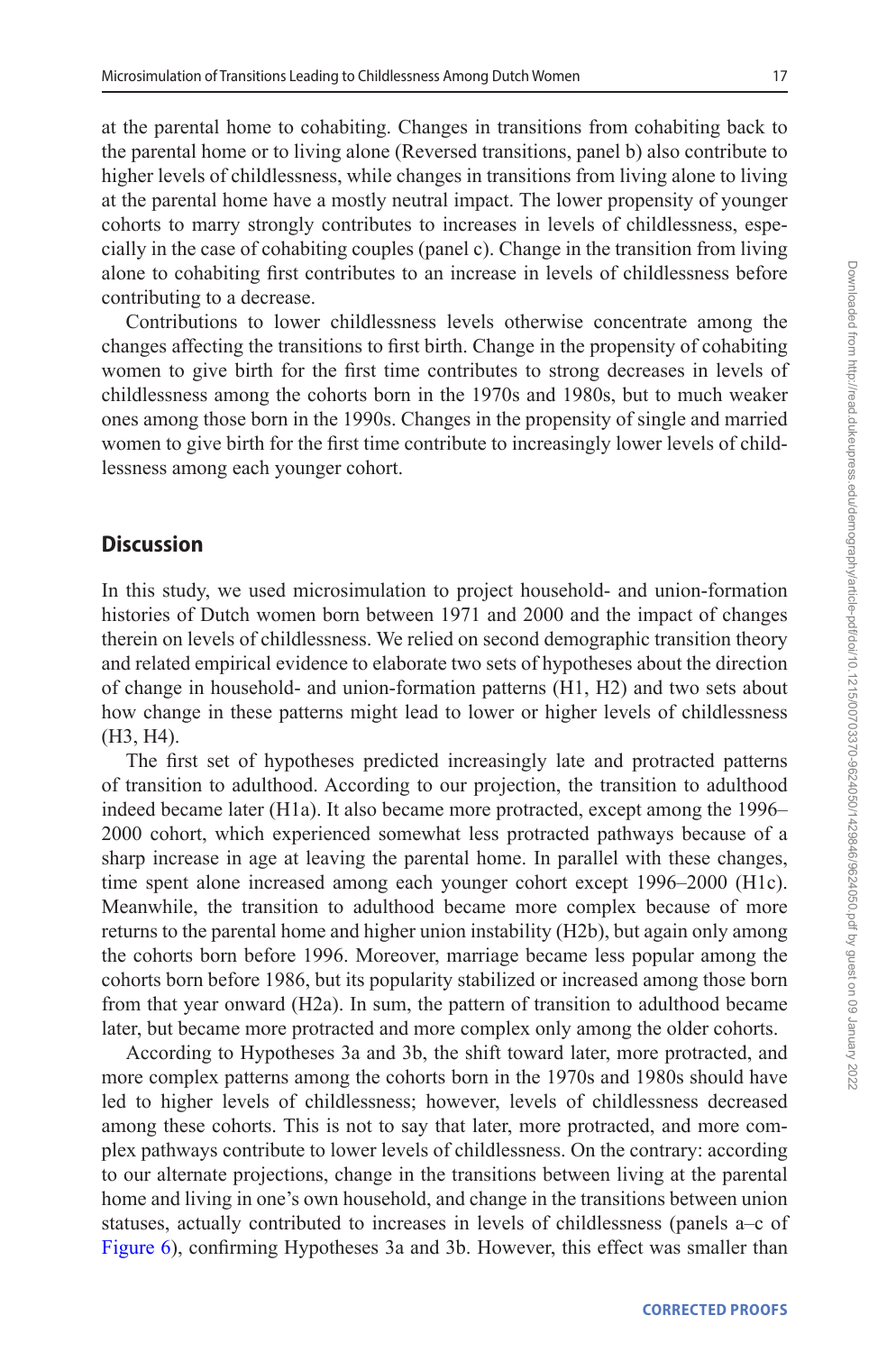at the parental home to cohabiting. Changes in transitions from cohabiting back to the parental home or to living alone (Reversed transitions, panel b) also contribute to higher levels of childlessness, while changes in transitions from living alone to living at the parental home have a mostly neutral impact. The lower propensity of younger cohorts to marry strongly contributes to increases in levels of childlessness, especially in the case of cohabiting couples (panel c). Change in the transition from living alone to cohabiting first contributes to an increase in levels of childlessness before contributing to a decrease.

Contributions to lower childlessness levels otherwise concentrate among the changes affecting the transitions to first birth. Change in the propensity of cohabiting women to give birth for the first time contributes to strong decreases in levels of childlessness among the cohorts born in the 1970s and 1980s, but to much weaker ones among those born in the 1990s. Changes in the propensity of single and married women to give birth for the first time contribute to increasingly lower levels of childlessness among each younger cohort.

## **Discussion**

In this study, we used microsimulation to project household- and union-formation histories of Dutch women born between 1971 and 2000 and the impact of changes therein on levels of childlessness. We relied on second demographic transition theory and related empirical evidence to elaborate two sets of hypotheses about the direction of change in household- and union-formation patterns (H1, H2) and two sets about how change in these patterns might lead to lower or higher levels of childlessness (H3, H4).

The first set of hypotheses predicted increasingly late and protracted patterns of transition to adulthood. According to our projection, the transition to adulthood indeed became later (H1a). It also became more protracted, except among the 1996– 2000 cohort, which experienced somewhat less protracted pathways because of a sharp increase in age at leaving the parental home. In parallel with these changes, time spent alone increased among each younger cohort except 1996–2000 (H1c). Meanwhile, the transition to adulthood became more complex because of more returns to the parental home and higher union instability (H2b), but again only among the cohorts born before 1996. Moreover, marriage became less popular among the cohorts born before 1986, but its popularity stabilized or increased among those born from that year onward (H2a). In sum, the pattern of transition to adulthood became later, but became more protracted and more complex only among the older cohorts.

According to Hypotheses 3a and 3b, the shift toward later, more protracted, and more complex patterns among the cohorts born in the 1970s and 1980s should have led to higher levels of childlessness; however, levels of childlessness decreased among these cohorts. This is not to say that later, more protracted, and more complex pathways contribute to lower levels of childlessness. On the contrary: according to our alternate projections, change in the transitions between living at the parental home and living in one's own household, and change in the transitions between union statuses, actually contributed to increases in levels of childlessness (panels a–c of [Figure 6](#page-15-0)), confirming Hypotheses 3a and 3b. However, this effect was smaller than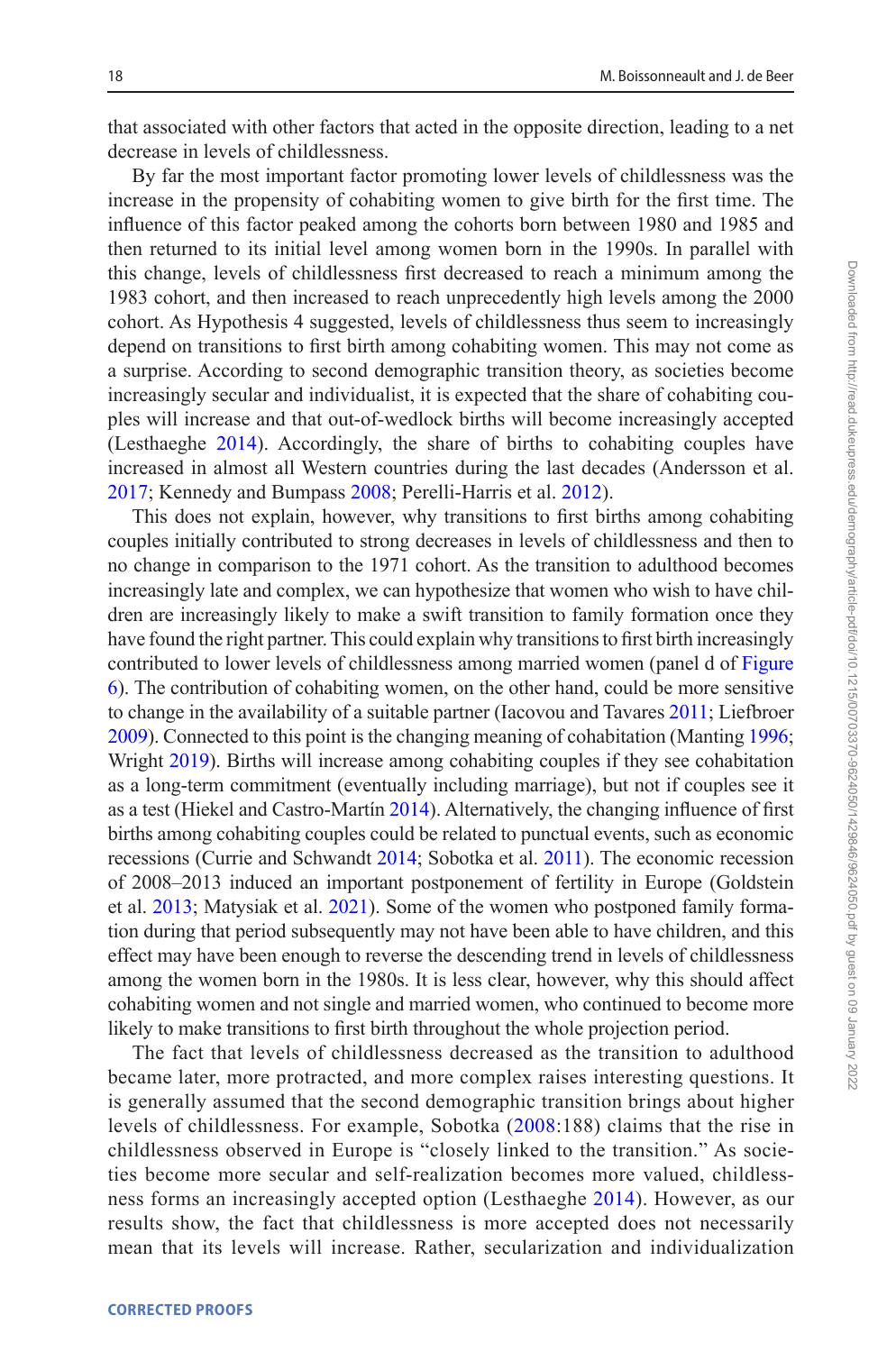that associated with other factors that acted in the opposite direction, leading to a net decrease in levels of childlessness.

By far the most important factor promoting lower levels of childlessness was the increase in the propensity of cohabiting women to give birth for the first time. The influence of this factor peaked among the cohorts born between 1980 and 1985 and then returned to its initial level among women born in the 1990s. In parallel with this change, levels of childlessness first decreased to reach a minimum among the 1983 cohort, and then increased to reach unprecedently high levels among the 2000 cohort. As Hypothesis 4 suggested, levels of childlessness thus seem to increasingly depend on transitions to first birth among cohabiting women. This may not come as a surprise. According to second demographic transition theory, as societies become increasingly secular and individualist, it is expected that the share of cohabiting couples will increase and that out-of-wedlock births will become increasingly accepted (Lesthaeghe [2014\)](#page-21-0). Accordingly, the share of births to cohabiting couples have increased in almost all Western countries during the last decades (Andersson et al. [2017;](#page-20-5) Kennedy and Bumpass [2008;](#page-21-15) Perelli-Harris et al. [2012\)](#page-22-10).

This does not explain, however, why transitions to first births among cohabiting couples initially contributed to strong decreases in levels of childlessness and then to no change in comparison to the 1971 cohort. As the transition to adulthood becomes increasingly late and complex, we can hypothesize that women who wish to have children are increasingly likely to make a swift transition to family formation once they have found the right partner. This could explain why transitions to first birth increasingly contributed to lower levels of childlessness among married women (panel d of [Figure](#page-15-0) [6\)](#page-15-0). The contribution of cohabiting women, on the other hand, could be more sensitive to change in the availability of a suitable partner (Iacovou and Tavares [2011;](#page-21-17) Liefbroer [2009\)](#page-21-18). Connected to this point is the changing meaning of cohabitation (Manting [1996](#page-21-12); Wright [2019](#page-23-13)). Births will increase among cohabiting couples if they see cohabitation as a long-term commitment (eventually including marriage), but not if couples see it as a test (Hiekel and Castro-Martín [2014](#page-21-14)). Alternatively, the changing influence of first births among cohabiting couples could be related to punctual events, such as economic recessions (Currie and Schwandt [2014](#page-20-12); Sobotka et al. [2011](#page-22-18)). The economic recession of 2008–2013 induced an important postponement of fertility in Europe (Goldstein et al. [2013;](#page-21-19) Matysiak et al. [2021](#page-21-20)). Some of the women who postponed family formation during that period subsequently may not have been able to have children, and this effect may have been enough to reverse the descending trend in levels of childlessness among the women born in the 1980s. It is less clear, however, why this should affect cohabiting women and not single and married women, who continued to become more likely to make transitions to first birth throughout the whole projection period.

The fact that levels of childlessness decreased as the transition to adulthood became later, more protracted, and more complex raises interesting questions. It is generally assumed that the second demographic transition brings about higher levels of childlessness. For example, Sobotka ([2008:](#page-22-7)188) claims that the rise in childlessness observed in Europe is "closely linked to the transition." As societies become more secular and self-realization becomes more valued, childlessness forms an increasingly accepted option (Lesthaeghe [2014\)](#page-21-0). However, as our results show, the fact that childlessness is more accepted does not necessarily mean that its levels will increase. Rather, secularization and individualization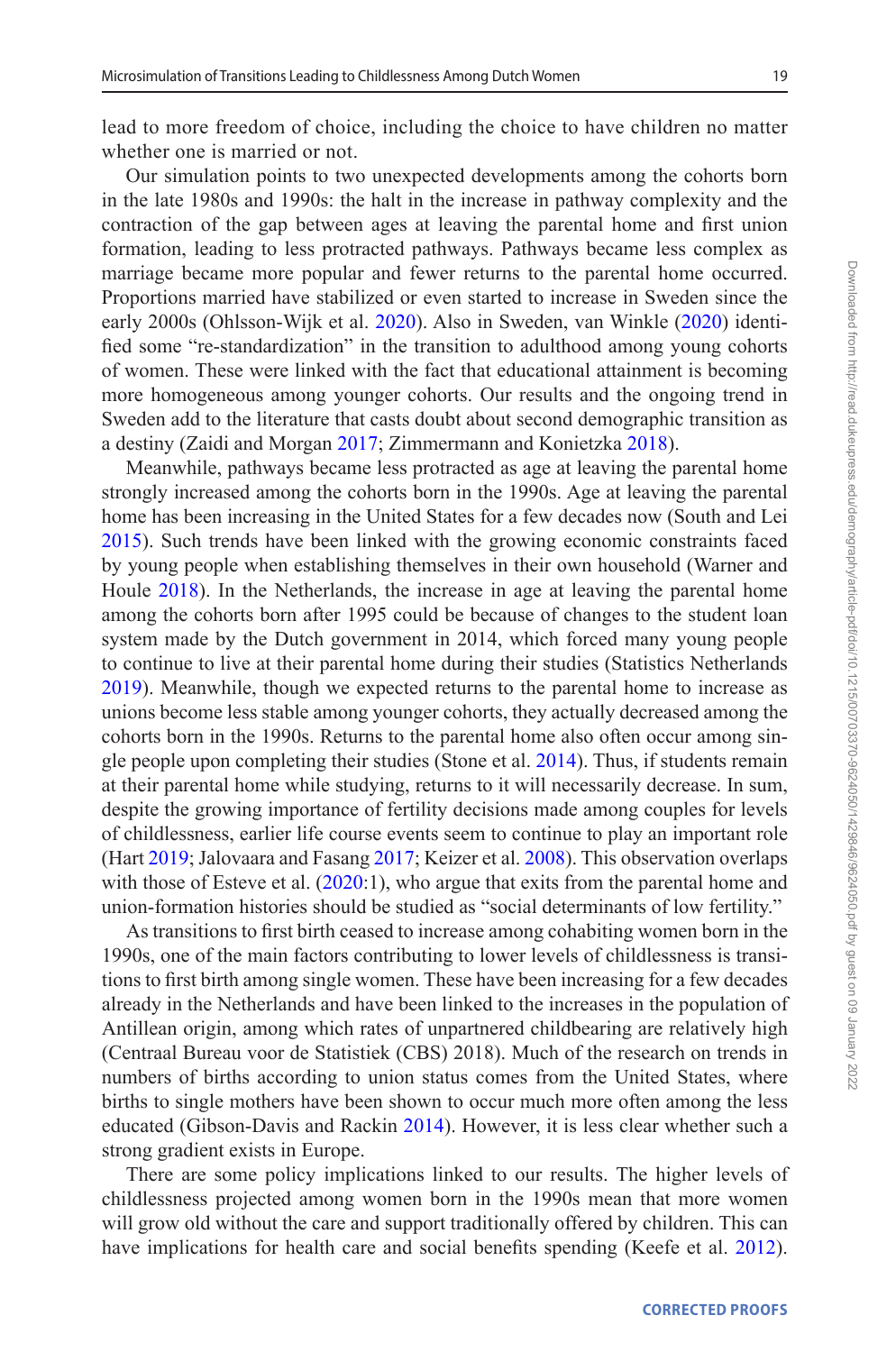lead to more freedom of choice, including the choice to have children no matter whether one is married or not.

Our simulation points to two unexpected developments among the cohorts born in the late 1980s and 1990s: the halt in the increase in pathway complexity and the contraction of the gap between ages at leaving the parental home and first union formation, leading to less protracted pathways. Pathways became less complex as marriage became more popular and fewer returns to the parental home occurred. Proportions married have stabilized or even started to increase in Sweden since the early 2000s (Ohlsson-Wijk et al. [2020\)](#page-22-19). Also in Sweden, van Winkle ([2020\)](#page-23-14) identified some "re-standardization" in the transition to adulthood among young cohorts of women. These were linked with the fact that educational attainment is becoming more homogeneous among younger cohorts. Our results and the ongoing trend in Sweden add to the literature that casts doubt about second demographic transition as a destiny (Zaidi and Morgan [2017](#page-23-8); Zimmermann and Konietzka [2018\)](#page-23-15).

Meanwhile, pathways became less protracted as age at leaving the parental home strongly increased among the cohorts born in the 1990s. Age at leaving the parental home has been increasing in the United States for a few decades now (South and Lei [2015\)](#page-22-9). Such trends have been linked with the growing economic constraints faced by young people when establishing themselves in their own household (Warner and Houle [2018\)](#page-23-16). In the Netherlands, the increase in age at leaving the parental home among the cohorts born after 1995 could be because of changes to the student loan system made by the Dutch government in 2014, which forced many young people to continue to live at their parental home during their studies (Statistics Netherlands [2019\)](#page-22-20). Meanwhile, though we expected returns to the parental home to increase as unions become less stable among younger cohorts, they actually decreased among the cohorts born in the 1990s. Returns to the parental home also often occur among single people upon completing their studies (Stone et al. [2014\)](#page-23-9). Thus, if students remain at their parental home while studying, returns to it will necessarily decrease. In sum, despite the growing importance of fertility decisions made among couples for levels of childlessness, earlier life course events seem to continue to play an important role (Hart [2019](#page-21-21); Jalovaara and Fasang [2017](#page-21-2); Keizer et al. [2008](#page-21-3)). This observation overlaps with those of Esteve et al. ([2020:](#page-21-11)1), who argue that exits from the parental home and union-formation histories should be studied as "social determinants of low fertility."

As transitions to first birth ceased to increase among cohabiting women born in the 1990s, one of the main factors contributing to lower levels of childlessness is transitions to first birth among single women. These have been increasing for a few decades already in the Netherlands and have been linked to the increases in the population of Antillean origin, among which rates of unpartnered childbearing are relatively high (Centraal Bureau voor de Statistiek (CBS) 2018). Much of the research on trends in numbers of births according to union status comes from the United States, where births to single mothers have been shown to occur much more often among the less educated (Gibson-Davis and Rackin [2014\)](#page-21-22). However, it is less clear whether such a strong gradient exists in Europe.

There are some policy implications linked to our results. The higher levels of childlessness projected among women born in the 1990s mean that more women will grow old without the care and support traditionally offered by children. This can have implications for health care and social benefits spending (Keefe et al. [2012](#page-21-23)).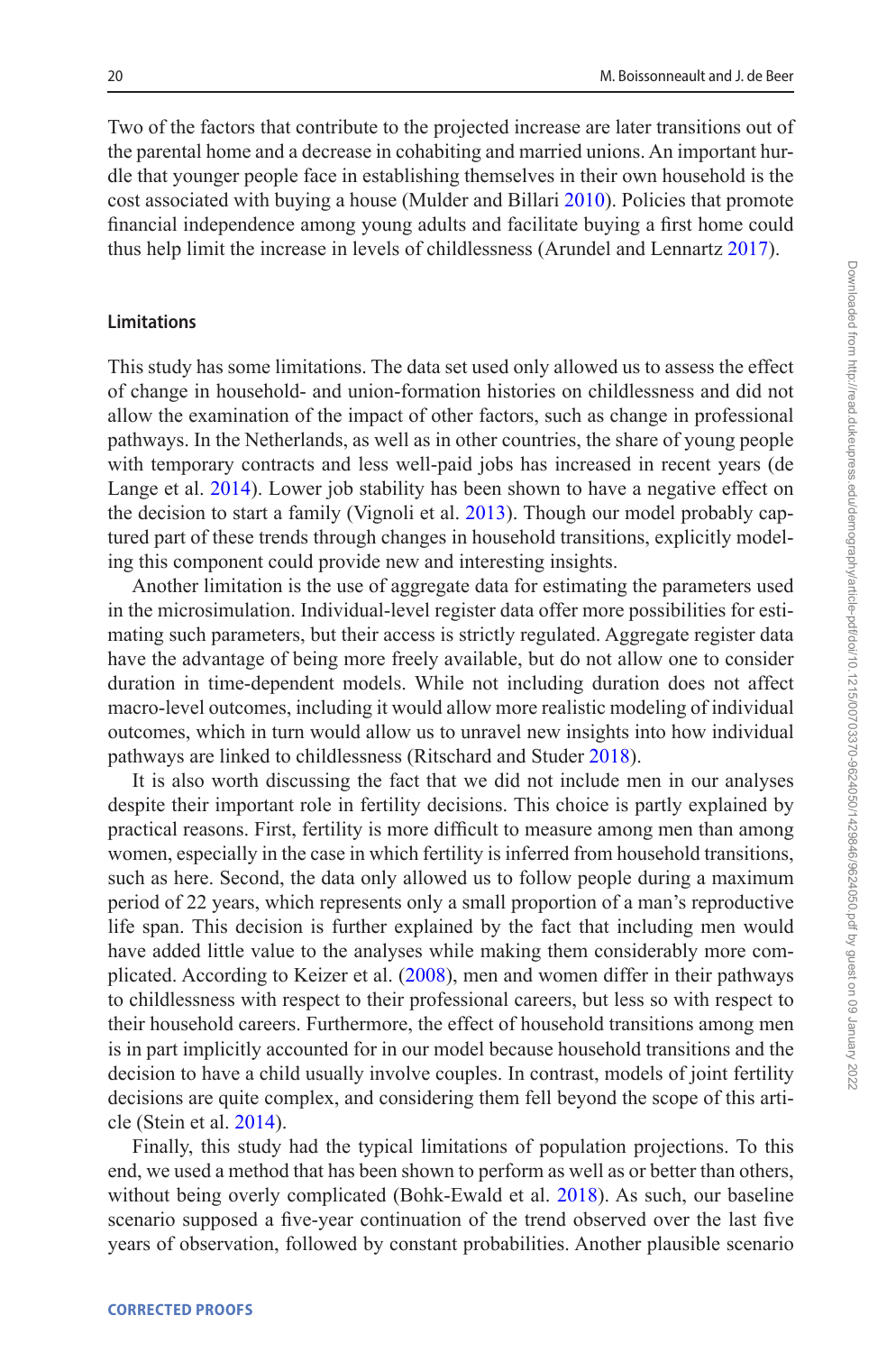Two of the factors that contribute to the projected increase are later transitions out of the parental home and a decrease in cohabiting and married unions. An important hurdle that younger people face in establishing themselves in their own household is the cost associated with buying a house (Mulder and Billari [2010\)](#page-21-24). Policies that promote financial independence among young adults and facilitate buying a first home could thus help limit the increase in levels of childlessness (Arundel and Lennartz [2017](#page-20-13)).

#### **Limitations**

This study has some limitations. The data set used only allowed us to assess the effect of change in household- and union-formation histories on childlessness and did not allow the examination of the impact of other factors, such as change in professional pathways. In the Netherlands, as well as in other countries, the share of young people with temporary contracts and less well-paid jobs has increased in recent years (de Lange et al. [2014\)](#page-20-14). Lower job stability has been shown to have a negative effect on the decision to start a family (Vignoli et al. [2013](#page-23-17)). Though our model probably captured part of these trends through changes in household transitions, explicitly modeling this component could provide new and interesting insights.

Another limitation is the use of aggregate data for estimating the parameters used in the microsimulation. Individual-level register data offer more possibilities for estimating such parameters, but their access is strictly regulated. Aggregate register data have the advantage of being more freely available, but do not allow one to consider duration in time-dependent models. While not including duration does not affect macro-level outcomes, including it would allow more realistic modeling of individual outcomes, which in turn would allow us to unravel new insights into how individual pathways are linked to childlessness (Ritschard and Studer [2018](#page-22-21)).

It is also worth discussing the fact that we did not include men in our analyses despite their important role in fertility decisions. This choice is partly explained by practical reasons. First, fertility is more difficult to measure among men than among women, especially in the case in which fertility is inferred from household transitions, such as here. Second, the data only allowed us to follow people during a maximum period of 22 years, which represents only a small proportion of a man's reproductive life span. This decision is further explained by the fact that including men would have added little value to the analyses while making them considerably more complicated. According to Keizer et al. ([2008\)](#page-21-3), men and women differ in their pathways to childlessness with respect to their professional careers, but less so with respect to their household careers. Furthermore, the effect of household transitions among men is in part implicitly accounted for in our model because household transitions and the decision to have a child usually involve couples. In contrast, models of joint fertility decisions are quite complex, and considering them fell beyond the scope of this article (Stein et al. [2014](#page-22-22)).

Finally, this study had the typical limitations of population projections. To this end, we used a method that has been shown to perform as well as or better than others, without being overly complicated (Bohk-Ewald et al. [2018](#page-20-4)). As such, our baseline scenario supposed a five-year continuation of the trend observed over the last five years of observation, followed by constant probabilities. Another plausible scenario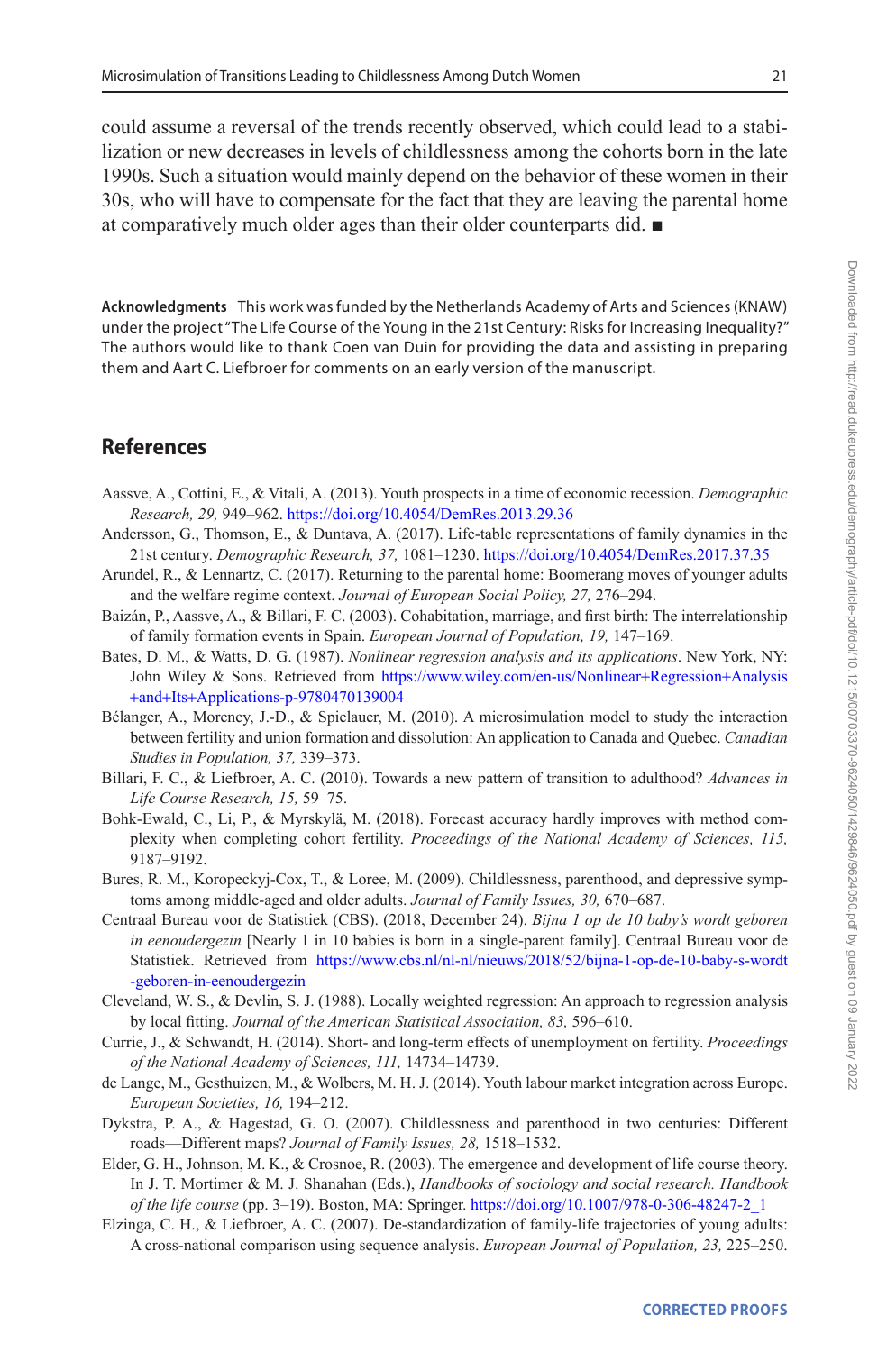could assume a reversal of the trends recently observed, which could lead to a stabilization or new decreases in levels of childlessness among the cohorts born in the late 1990s. Such a situation would mainly depend on the behavior of these women in their 30s, who will have to compensate for the fact that they are leaving the parental home at comparatively much older ages than their older counterparts did. ■

**Acknowledgments** This work was funded by the Netherlands Academy of Arts and Sciences (KNAW) under the project "The Life Course of the Young in the 21st Century: Risks for Increasing Inequality?" The authors would like to thank Coen van Duin for providing the data and assisting in preparing them and Aart C. Liefbroer for comments on an early version of the manuscript.

## **References**

- <span id="page-20-6"></span>Aassve, A., Cottini, E., & Vitali, A. (2013). Youth prospects in a time of economic recession. *Demographic Research, 29,* 949–962.<https://doi.org/10.4054/DemRes.2013.29.36>
- <span id="page-20-5"></span>Andersson, G., Thomson, E., & Duntava, A. (2017). Life-table representations of family dynamics in the 21st century. *Demographic Research, 37,* 1081–1230.<https://doi.org/10.4054/DemRes.2017.37.35>
- <span id="page-20-13"></span>Arundel, R., & Lennartz, C. (2017). Returning to the parental home: Boomerang moves of younger adults and the welfare regime context. *Journal of European Social Policy, 27,* 276–294.
- <span id="page-20-9"></span>Baizán, P., Aassve, A., & Billari, F. C. (2003). Cohabitation, marriage, and first birth: The interrelationship of family formation events in Spain. *European Journal of Population, 19,* 147–169.
- <span id="page-20-10"></span>Bates, D. M., & Watts, D. G. (1987). *Nonlinear regression analysis and its applications*. New York, NY: John Wiley & Sons. Retrieved from [https://www.wiley.com/en-us/Nonlinear](https://www.wiley.com/en-us/Nonlinear+Regression+Analysis+and+Its+Applications-p-9780470139004)+Regression+Analysis +and+Its+[Applications-p-9780470139004](https://www.wiley.com/en-us/Nonlinear+Regression+Analysis+and+Its+Applications-p-9780470139004)
- <span id="page-20-8"></span>Bélanger, A., Morency, J.-D., & Spielauer, M. (2010). A microsimulation model to study the interaction between fertility and union formation and dissolution: An application to Canada and Quebec. *Canadian Studies in Population, 37,* 339–373.
- <span id="page-20-2"></span>Billari, F. C., & Liefbroer, A. C. (2010). Towards a new pattern of transition to adulthood? *Advances in Life Course Research, 15,* 59–75.
- <span id="page-20-4"></span>Bohk-Ewald, C., Li, P., & Myrskylä, M. (2018). Forecast accuracy hardly improves with method complexity when completing cohort fertility. *Proceedings of the National Academy of Sciences, 115,* 9187–9192.
- <span id="page-20-0"></span>Bures, R. M., Koropeckyj-Cox, T., & Loree, M. (2009). Childlessness, parenthood, and depressive symptoms among middle-aged and older adults. *Journal of Family Issues, 30,* 670–687.
- Centraal Bureau voor de Statistiek (CBS). (2018, December 24). *Bijna 1 op de 10 baby's wordt geboren in eenoudergezin* [Nearly 1 in 10 babies is born in a single-parent family]. Centraal Bureau voor de Statistiek. Retrieved from [https://www.cbs.nl/nl-nl/nieuws/2018/52/bijna-1-op-de-10-baby-s-wordt](https://www.cbs.nl/nl-nl/nieuws/2018/52/bijna-1-op-de-10-baby-s-wordt-geboren-in-eenoudergezin) [-geboren-in-eenoudergezin](https://www.cbs.nl/nl-nl/nieuws/2018/52/bijna-1-op-de-10-baby-s-wordt-geboren-in-eenoudergezin)
- <span id="page-20-11"></span>Cleveland, W. S., & Devlin, S. J. (1988). Locally weighted regression: An approach to regression analysis by local fitting. *Journal of the American Statistical Association, 83,* 596–610.
- <span id="page-20-12"></span>Currie, J., & Schwandt, H. (2014). Short- and long-term effects of unemployment on fertility. *Proceedings of the National Academy of Sciences, 111,* 14734–14739.
- <span id="page-20-14"></span>de Lange, M., Gesthuizen, M., & Wolbers, M. H. J. (2014). Youth labour market integration across Europe. *European Societies, 16,* 194–212.
- <span id="page-20-1"></span>Dykstra, P. A., & Hagestad, G. O. (2007). Childlessness and parenthood in two centuries: Different roads—Different maps? *Journal of Family Issues, 28,* 1518–1532.
- <span id="page-20-3"></span>Elder, G. H., Johnson, M. K., & Crosnoe, R. (2003). The emergence and development of life course theory. In J. T. Mortimer & M. J. Shanahan (Eds.), *Handbooks of sociology and social research. Handbook of the life course* (pp. 3–19). Boston, MA: Springer. [https://doi.org/10.1007/978-0-306-48247-2\\_1](https://doi.org/10.1007/978-0-306-48247-2_1)
- <span id="page-20-7"></span>Elzinga, C. H., & Liefbroer, A. C. (2007). De-standardization of family-life trajectories of young adults: A cross-national comparison using sequence analysis. *European Journal of Population, 23,* 225–250.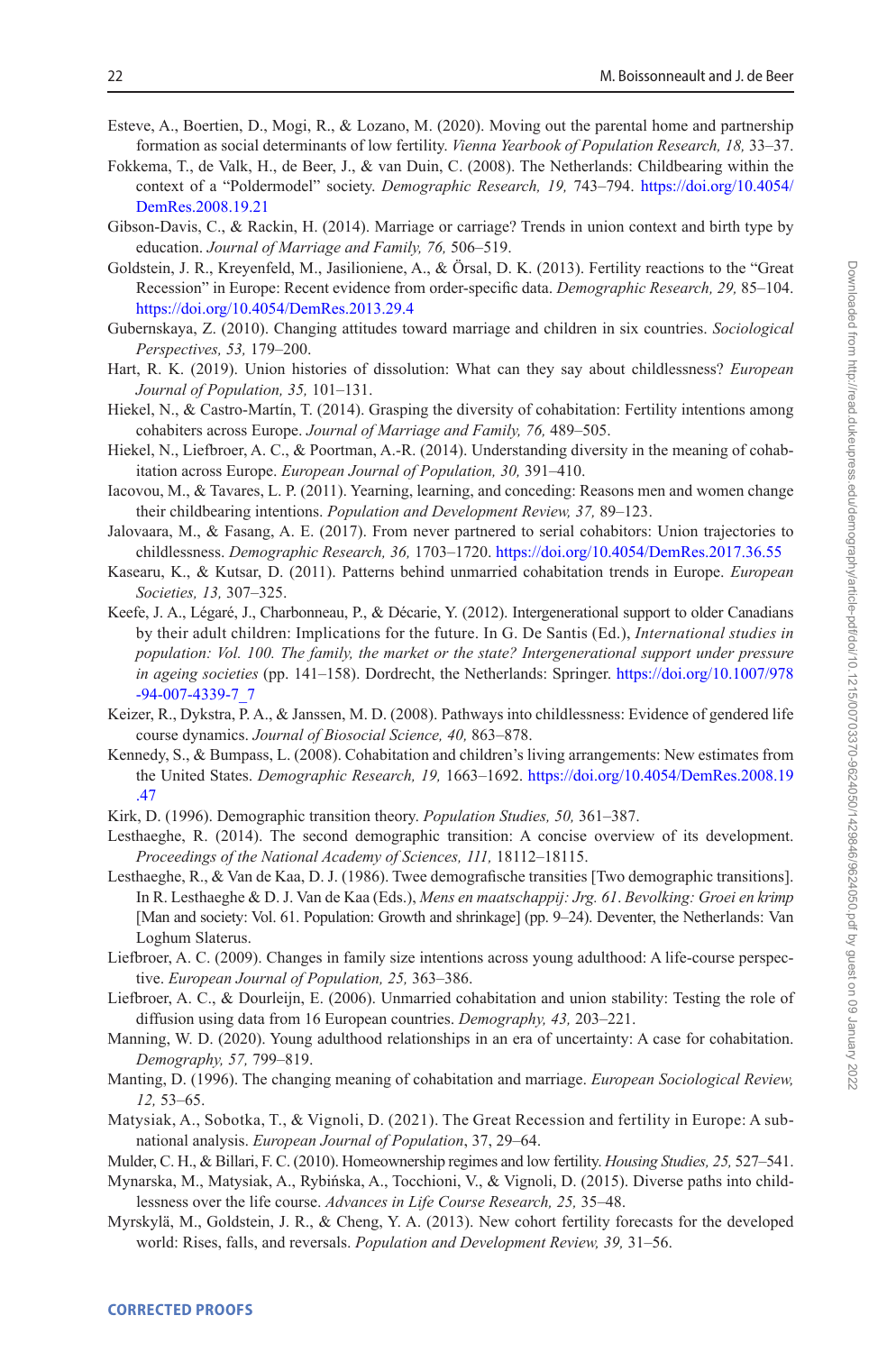- <span id="page-21-11"></span>Esteve, A., Boertien, D., Mogi, R., & Lozano, M. (2020). Moving out the parental home and partnership formation as social determinants of low fertility. *Vienna Yearbook of Population Research, 18,* 33–37.
- <span id="page-21-10"></span>Fokkema, T., de Valk, H., de Beer, J., & van Duin, C. (2008). The Netherlands: Childbearing within the context of a "Poldermodel" society. *Demographic Research, 19,* 743–794. [https://doi.org/10.4054/](https://doi.org/10.4054/DemRes.2008.19.21) [DemRes.2008.19.21](https://doi.org/10.4054/DemRes.2008.19.21)
- <span id="page-21-22"></span>Gibson-Davis, C., & Rackin, H. (2014). Marriage or carriage? Trends in union context and birth type by education. *Journal of Marriage and Family, 76,* 506–519.
- <span id="page-21-19"></span>Goldstein, J. R., Kreyenfeld, M., Jasilioniene, A., & Örsal, D. K. (2013). Fertility reactions to the "Great Recession" in Europe: Recent evidence from order-specific data. *Demographic Research, 29,* 85–104. <https://doi.org/10.4054/DemRes.2013.29.4>
- <span id="page-21-5"></span>Gubernskaya, Z. (2010). Changing attitudes toward marriage and children in six countries. *Sociological Perspectives, 53,* 179–200.
- <span id="page-21-21"></span>Hart, R. K. (2019). Union histories of dissolution: What can they say about childlessness? *European Journal of Population, 35,* 101–131.
- <span id="page-21-14"></span>Hiekel, N., & Castro-Martín, T. (2014). Grasping the diversity of cohabitation: Fertility intentions among cohabiters across Europe. *Journal of Marriage and Family, 76,* 489–505.
- <span id="page-21-16"></span>Hiekel, N., Liefbroer, A. C., & Poortman, A.-R. (2014). Understanding diversity in the meaning of cohabitation across Europe. *European Journal of Population, 30,* 391–410.
- <span id="page-21-17"></span>Iacovou, M., & Tavares, L. P. (2011). Yearning, learning, and conceding: Reasons men and women change their childbearing intentions. *Population and Development Review, 37,* 89–123.
- <span id="page-21-2"></span>Jalovaara, M., & Fasang, A. E. (2017). From never partnered to serial cohabitors: Union trajectories to childlessness. *Demographic Research, 36,* 1703–1720.<https://doi.org/10.4054/DemRes.2017.36.55>
- <span id="page-21-6"></span>Kasearu, K., & Kutsar, D. (2011). Patterns behind unmarried cohabitation trends in Europe. *European Societies, 13,* 307–325.
- <span id="page-21-23"></span>Keefe, J. A., Légaré, J., Charbonneau, P., & Décarie, Y. (2012). Intergenerational support to older Canadians by their adult children: Implications for the future. In G. De Santis (Ed.), *International studies in population: Vol. 100. The family, the market or the state? Intergenerational support under pressure in ageing societies* (pp. 141–158). Dordrecht, the Netherlands: Springer. [https://doi.org/10.1007/978](https://doi.org/10.1007/978-94-007-4339-7_7) [-94-007-4339-7\\_7](https://doi.org/10.1007/978-94-007-4339-7_7)
- <span id="page-21-3"></span>Keizer, R., Dykstra, P. A., & Janssen, M. D. (2008). Pathways into childlessness: Evidence of gendered life course dynamics. *Journal of Biosocial Science, 40,* 863–878.
- <span id="page-21-15"></span>Kennedy, S., & Bumpass, L. (2008). Cohabitation and children's living arrangements: New estimates from the United States. *Demographic Research, 19,* 1663–1692. [https://doi.org/10.4054/DemRes.2008.19](https://doi.org/10.4054/DemRes.2008.19.47) [.47](https://doi.org/10.4054/DemRes.2008.19.47)
- <span id="page-21-9"></span>Kirk, D. (1996). Demographic transition theory. *Population Studies, 50,* 361–387.
- <span id="page-21-0"></span>Lesthaeghe, R. (2014). The second demographic transition: A concise overview of its development. *Proceedings of the National Academy of Sciences, 111,* 18112–18115.
- <span id="page-21-1"></span>Lesthaeghe, R., & Van de Kaa, D. J. (1986). Twee demografische transities [Two demographic transitions]. In R. Lesthaeghe & D. J. Van de Kaa (Eds.), *Mens en maatschappij: Jrg. 61*. *Bevolking: Groei en krimp* [Man and society: Vol. 61. Population: Growth and shrinkage] (pp. 9–24). Deventer, the Netherlands: Van Loghum Slaterus.
- <span id="page-21-18"></span>Liefbroer, A. C. (2009). Changes in family size intentions across young adulthood: A life-course perspective. *European Journal of Population, 25,* 363–386.
- <span id="page-21-13"></span>Liefbroer, A. C., & Dourleijn, E. (2006). Unmarried cohabitation and union stability: Testing the role of diffusion using data from 16 European countries. *Demography, 43,* 203–221.
- <span id="page-21-7"></span>Manning, W. D. (2020). Young adulthood relationships in an era of uncertainty: A case for cohabitation. *Demography, 57,* 799–819.
- <span id="page-21-12"></span>Manting, D. (1996). The changing meaning of cohabitation and marriage. *European Sociological Review, 12,* 53–65.
- <span id="page-21-20"></span>Matysiak, A., Sobotka, T., & Vignoli, D. (2021). The Great Recession and fertility in Europe: A subnational analysis. *European Journal of Population*, 37, 29–64.
- <span id="page-21-24"></span>Mulder, C. H., & Billari, F. C. (2010). Homeownership regimes and low fertility. *Housing Studies, 25,* 527–541.
- <span id="page-21-4"></span>Mynarska, M., Matysiak, A., Rybińska, A., Tocchioni, V., & Vignoli, D. (2015). Diverse paths into childlessness over the life course. *Advances in Life Course Research, 25,* 35–48.
- <span id="page-21-8"></span>Myrskylä, M., Goldstein, J. R., & Cheng, Y. A. (2013). New cohort fertility forecasts for the developed world: Rises, falls, and reversals. *Population and Development Review, 39,* 31–56.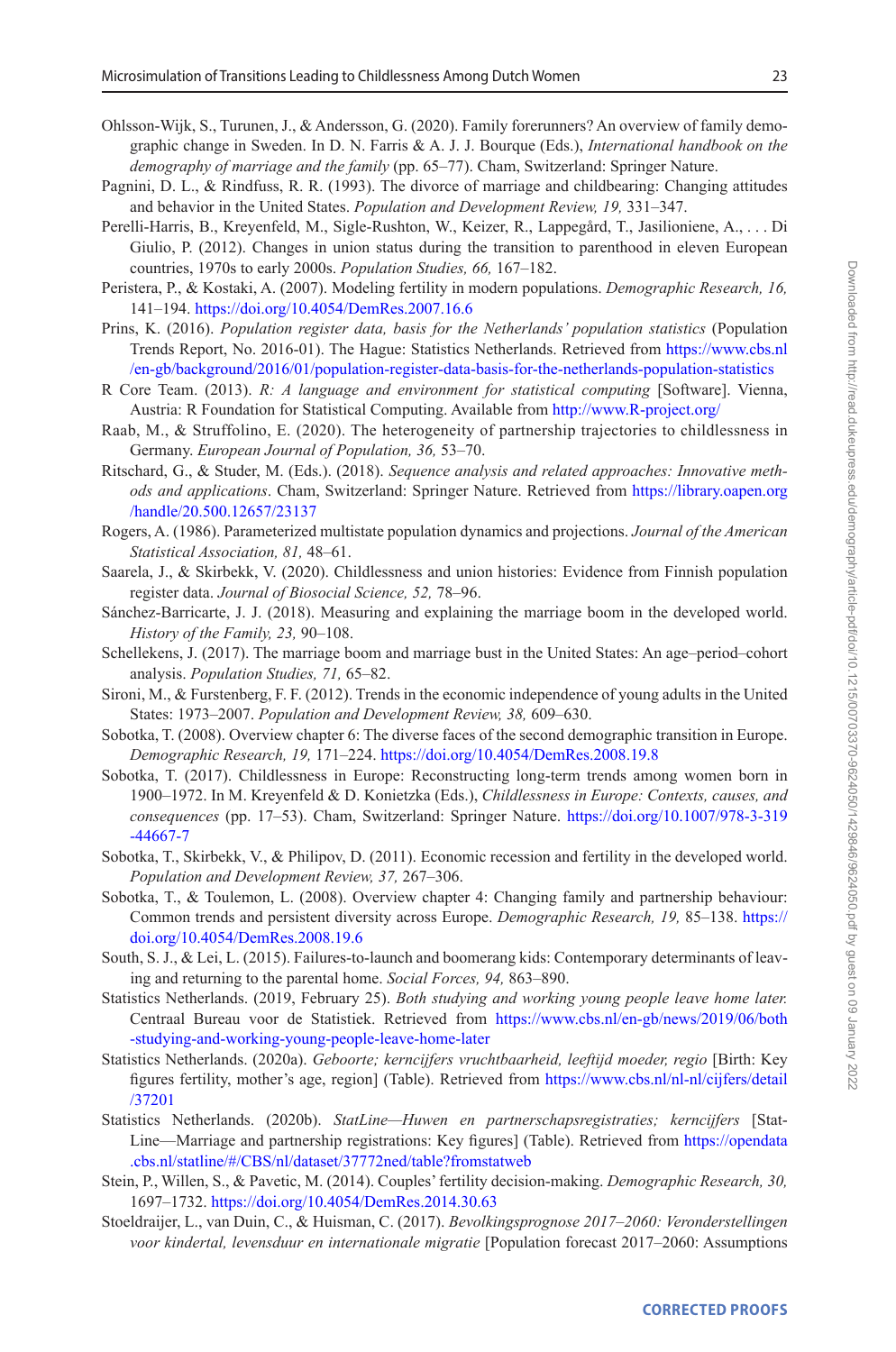- <span id="page-22-19"></span>Ohlsson-Wijk, S., Turunen, J., & Andersson, G. (2020). Family forerunners? An overview of family demographic change in Sweden. In D. N. Farris & A. J. J. Bourque (Eds.), *International handbook on the demography of marriage and the family* (pp. 65–77). Cham, Switzerland: Springer Nature.
- <span id="page-22-5"></span>Pagnini, D. L., & Rindfuss, R. R. (1993). The divorce of marriage and childbearing: Changing attitudes and behavior in the United States. *Population and Development Review, 19,* 331–347.
- <span id="page-22-10"></span>Perelli-Harris, B., Kreyenfeld, M., Sigle-Rushton, W., Keizer, R., Lappegård, T., Jasilioniene, A., . . . Di Giulio, P. (2012). Changes in union status during the transition to parenthood in eleven European countries, 1970s to early 2000s. *Population Studies, 66,* 167–182.
- <span id="page-22-14"></span>Peristera, P., & Kostaki, A. (2007). Modeling fertility in modern populations. *Demographic Research, 16,* 141–194.<https://doi.org/10.4054/DemRes.2007.16.6>
- <span id="page-22-12"></span>Prins, K. (2016). *Population register data, basis for the Netherlands' population statistics* (Population Trends Report, No. 2016-01). The Hague: Statistics Netherlands. Retrieved from [https://www.cbs.nl](https://www.cbs.nl/en-gb/background/2016/01/population-register-data-basis-for-the-netherlands-population-statistics) [/en-gb/background/2016/01/population-register-data-basis-for-the-netherlands-population-statistics](https://www.cbs.nl/en-gb/background/2016/01/population-register-data-basis-for-the-netherlands-population-statistics)
- <span id="page-22-16"></span>R Core Team. (2013). *R: A language and environment for statistical computing* [Software]. Vienna, Austria: R Foundation for Statistical Computing. Available from<http://www.R-project.org/>
- <span id="page-22-3"></span>Raab, M., & Struffolino, E. (2020). The heterogeneity of partnership trajectories to childlessness in Germany. *European Journal of Population, 36,* 53–70.
- <span id="page-22-21"></span>Ritschard, G., & Studer, M. (Eds.). (2018). *Sequence analysis and related approaches: Innovative methods and applications*. Cham, Switzerland: Springer Nature. Retrieved from [https://library.oapen.org](https://library.oapen.org/handle/20.500.12657/23137) [/handle/20.500.12657/23137](https://library.oapen.org/handle/20.500.12657/23137)
- <span id="page-22-15"></span>Rogers, A. (1986). Parameterized multistate population dynamics and projections. *Journal of the American Statistical Association, 81,* 48–61.
- <span id="page-22-4"></span>Saarela, J., & Skirbekk, V. (2020). Childlessness and union histories: Evidence from Finnish population register data. *Journal of Biosocial Science, 52,* 78–96.
- <span id="page-22-1"></span>Sánchez-Barricarte, J. J. (2018). Measuring and explaining the marriage boom in the developed world. *History of the Family, 23,* 90–108.
- <span id="page-22-2"></span>Schellekens, J. (2017). The marriage boom and marriage bust in the United States: An age–period–cohort analysis. *Population Studies, 71,* 65–82.
- <span id="page-22-8"></span>Sironi, M., & Furstenberg, F. F. (2012). Trends in the economic independence of young adults in the United States: 1973–2007. *Population and Development Review, 38,* 609–630.
- <span id="page-22-7"></span>Sobotka, T. (2008). Overview chapter 6: The diverse faces of the second demographic transition in Europe. *Demographic Research, 19,* 171–224.<https://doi.org/10.4054/DemRes.2008.19.8>
- <span id="page-22-0"></span>Sobotka, T. (2017). Childlessness in Europe: Reconstructing long-term trends among women born in 1900–1972. In M. Kreyenfeld & D. Konietzka (Eds.), *Childlessness in Europe: Contexts, causes, and consequences* (pp. 17–53). Cham, Switzerland: Springer Nature. [https://doi.org/10.1007/978-3-319](https://doi.org/10.1007/978-3-319-44667-7) [-44667-7](https://doi.org/10.1007/978-3-319-44667-7)
- <span id="page-22-18"></span>Sobotka, T., Skirbekk, V., & Philipov, D. (2011). Economic recession and fertility in the developed world. *Population and Development Review, 37,* 267–306.
- <span id="page-22-11"></span>Sobotka, T., & Toulemon, L. (2008). Overview chapter 4: Changing family and partnership behaviour: Common trends and persistent diversity across Europe. *Demographic Research, 19,* 85–138. [https://](https://doi.org/10.4054/DemRes.2008.19.6) [doi.org/10.4054/DemRes.2008.19.6](https://doi.org/10.4054/DemRes.2008.19.6)
- <span id="page-22-9"></span>South, S. J., & Lei, L. (2015). Failures-to-launch and boomerang kids: Contemporary determinants of leaving and returning to the parental home. *Social Forces, 94,* 863–890.
- <span id="page-22-20"></span>Statistics Netherlands. (2019, February 25). *Both studying and working young people leave home later.* Centraal Bureau voor de Statistiek. Retrieved from [https://www.cbs.nl/en-gb/news/2019/06/both](https://www.cbs.nl/en-gb/news/2019/06/both-studying-and-working-young-people-leave-home-later) [-studying-and-working-young-people-leave-home-later](https://www.cbs.nl/en-gb/news/2019/06/both-studying-and-working-young-people-leave-home-later)
- <span id="page-22-13"></span>Statistics Netherlands. (2020a). *Geboorte; kerncijfers vruchtbaarheid, leeftijd moeder, regio* [Birth: Key figures fertility, mother's age, region] (Table). Retrieved from [https://www.cbs.nl/nl-nl/cijfers/detail](https://www.cbs.nl/nl-nl/cijfers/detail/37201) [/37201](https://www.cbs.nl/nl-nl/cijfers/detail/37201)
- <span id="page-22-6"></span>Statistics Netherlands. (2020b). *StatLine—Huwen en partnerschapsregistraties; kerncijfers* [Stat-Line—Marriage and partnership registrations: Key figures] (Table). Retrieved from [https://opendata](https://opendata.cbs.nl/statline/#/CBS/nl/dataset/37772ned/table?fromstatweb) [.cbs.nl/statline/#/CBS/nl/dataset/37772ned/table?fromstatweb](https://opendata.cbs.nl/statline/#/CBS/nl/dataset/37772ned/table?fromstatweb)
- <span id="page-22-22"></span>Stein, P., Willen, S., & Pavetic, M. (2014). Couples' fertility decision-making. *Demographic Research, 30,* 1697–1732.<https://doi.org/10.4054/DemRes.2014.30.63>
- <span id="page-22-17"></span>Stoeldraijer, L., van Duin, C., & Huisman, C. (2017). *Bevolkingsprognose 2017–2060: Veronderstellingen voor kindertal, levensduur en internationale migratie* [Population forecast 2017–2060: Assumptions